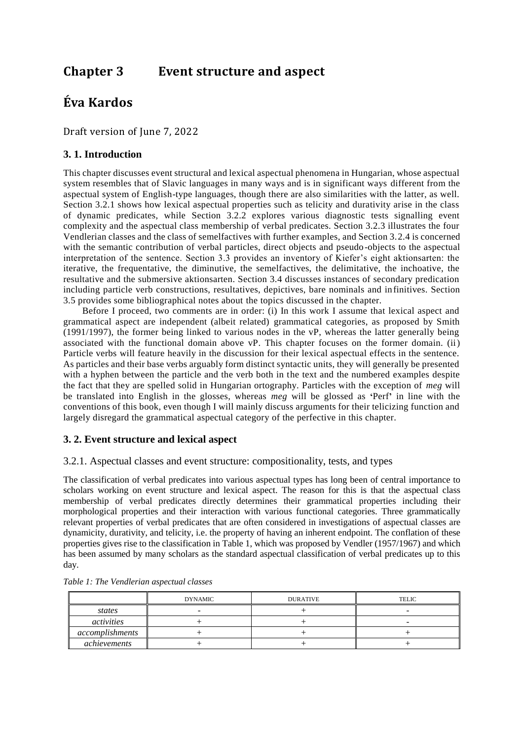# **Chapter 3 Event structure and aspect**

# **Éva Kardos**

Draft version of June 7, 2022

## **3. 1. Introduction**

This chapter discusses event structural and lexical aspectual phenomena in Hungarian, whose aspectual system resembles that of Slavic languages in many ways and is in significant ways different from the aspectual system of English-type languages, though there are also similarities with the latter, as well. Section 3.2.1 shows how lexical aspectual properties such as telicity and durativity arise in the class of dynamic predicates, while Section 3.2.2 explores various diagnostic tests signalling event complexity and the aspectual class membership of verbal predicates. Section 3.2.3 illustrates the four Vendlerian classes and the class of semelfactives with further examples, and Section 3.2.4 is concerned with the semantic contribution of verbal particles, direct objects and pseudo-objects to the aspectual interpretation of the sentence. Section 3.3 provides an inventory of Kiefer's eight aktionsarten: the iterative, the frequentative, the diminutive, the semelfactives, the delimitative, the inchoative, the resultative and the submersive aktionsarten. Section 3.4 discusses instances of secondary predication including particle verb constructions, resultatives, depictives, bare nominals and infinitives. Section 3.5 provides some bibliographical notes about the topics discussed in the chapter.

Before I proceed, two comments are in order: (i) In this work I assume that lexical aspect and grammatical aspect are independent (albeit related) grammatical categories, as proposed by Smith (1991/1997), the former being linked to various nodes in the vP, whereas the latter generally being associated with the functional domain above vP. This chapter focuses on the former domain. (ii) Particle verbs will feature heavily in the discussion for their lexical aspectual effects in the sentence. As particles and their base verbs arguably form distinct syntactic units, they will generally be presented with a hyphen between the particle and the verb both in the text and the numbered examples despite the fact that they are spelled solid in Hungarian ortography. Particles with the exception of *meg* will be translated into English in the glosses, whereas *meg* will be glossed as **'**Perf**'** in line with the conventions of this book, even though I will mainly discuss arguments for their telicizing function and largely disregard the grammatical aspectual category of the perfective in this chapter.

## **3. 2. Event structure and lexical aspect**

## 3.2.1. Aspectual classes and event structure: compositionality, tests, and types

The classification of verbal predicates into various aspectual types has long been of central importance to scholars working on event structure and lexical aspect. The reason for this is that the aspectual class membership of verbal predicates directly determines their grammatical properties including their morphological properties and their interaction with various functional categories. Three grammatically relevant properties of verbal predicates that are often considered in investigations of aspectual classes are dynamicity, durativity, and telicity, i.e. the property of having an inherent endpoint. The conflation of these properties gives rise to the classification in Table 1, which was proposed by Vendler (1957/1967) and which has been assumed by many scholars as the standard aspectual classification of verbal predicates up to this day.

|                 | <b>DYNAMIC</b> | <b>DURATIVE</b> | TELIC |
|-----------------|----------------|-----------------|-------|
| states          |                |                 |       |
| activities      |                |                 |       |
| accomplishments |                |                 |       |
| achievements    |                |                 |       |

|  |  | Table 1: The Vendlerian aspectual classes |  |  |
|--|--|-------------------------------------------|--|--|
|--|--|-------------------------------------------|--|--|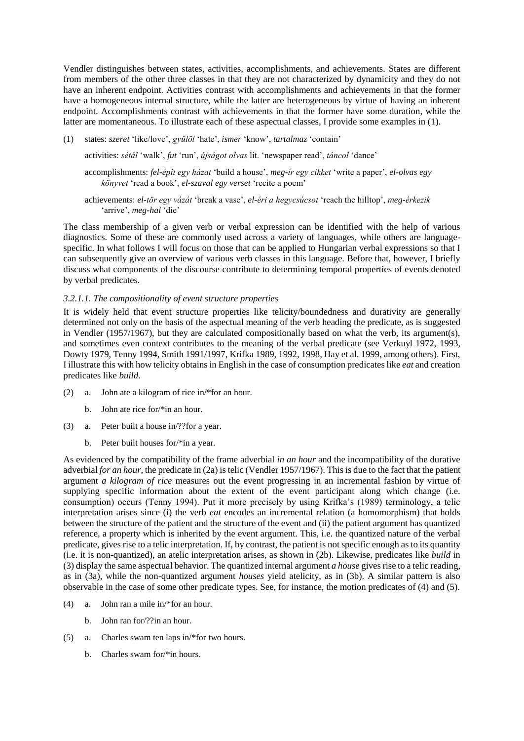Vendler distinguishes between states, activities, accomplishments, and achievements. States are different from members of the other three classes in that they are not characterized by dynamicity and they do not have an inherent endpoint. Activities contrast with accomplishments and achievements in that the former have a homogeneous internal structure, while the latter are heterogeneous by virtue of having an inherent endpoint. Accomplishments contrast with achievements in that the former have some duration, while the latter are momentaneous. To illustrate each of these aspectual classes, I provide some examples in (1).

(1) states: *szeret* 'like/love', *gyűlöl* 'hate', *ismer* 'know', *tartalmaz* 'contain'

activities: *sétál* 'walk', *fut* 'run', *újságot olvas* lit. 'newspaper read', *táncol* 'dance'

accomplishments: *fel-épít egy házat* 'build a house', *meg-ír egy cikket* 'write a paper', *el-olvas egy könyvet* 'read a book', *el-szaval egy verset* 'recite a poem'

achievements: *el-tör egy vázát* 'break a vase', *el-éri a hegycsúcsot* 'reach the hilltop', *meg-érkezik*  'arrive', *meg-hal* 'die'

The class membership of a given verb or verbal expression can be identified with the help of various diagnostics. Some of these are commonly used across a variety of languages, while others are languagespecific. In what follows I will focus on those that can be applied to Hungarian verbal expressions so that I can subsequently give an overview of various verb classes in this language. Before that, however, I briefly discuss what components of the discourse contribute to determining temporal properties of events denoted by verbal predicates.

#### *3.2.1.1. The compositionality of event structure properties*

It is widely held that event structure properties like telicity/boundedness and durativity are generally determined not only on the basis of the aspectual meaning of the verb heading the predicate, as is suggested in Vendler (1957/1967), but they are calculated compositionally based on what the verb, its argument(s), and sometimes even context contributes to the meaning of the verbal predicate (see Verkuyl 1972, 1993, Dowty 1979, Tenny 1994, Smith 1991/1997, Krifka 1989, 1992, 1998, Hay et al. 1999, among others). First, I illustrate this with how telicity obtains in English in the case of consumption predicates like *eat* and creation predicates like *build*.

- (2) a. John ate a kilogram of rice in/\*for an hour.
	- b. John ate rice for/\*in an hour.
- (3) a. Peter built a house in/??for a year.
	- b. Peter built houses for/\*in a year.

As evidenced by the compatibility of the frame adverbial *in an hour* and the incompatibility of the durative adverbial *for an hour*, the predicate in (2a) is telic (Vendler 1957/1967). This is due to the fact that the patient argument *a kilogram of rice* measures out the event progressing in an incremental fashion by virtue of supplying specific information about the extent of the event participant along which change (i.e. consumption) occurs (Tenny 1994). Put it more precisely by using Krifka's (1989) terminology, a telic interpretation arises since (i) the verb *eat* encodes an incremental relation (a homomorphism) that holds between the structure of the patient and the structure of the event and (ii) the patient argument has quantized reference, a property which is inherited by the event argument. This, i.e. the quantized nature of the verbal predicate, gives rise to a telic interpretation. If, by contrast, the patient is not specific enough as to its quantity (i.e. it is non-quantized), an atelic interpretation arises, as shown in (2b). Likewise, predicates like *build* in (3) display the same aspectual behavior. The quantized internal argument *a house* gives rise to a telic reading, as in (3a), while the non-quantized argument *houses* yield atelicity, as in (3b). A similar pattern is also observable in the case of some other predicate types. See, for instance, the motion predicates of (4) and (5).

- (4) a. John ran a mile in/\*for an hour.
	- b. John ran for/??in an hour.
- (5) a. Charles swam ten laps in/\*for two hours.
	- b. Charles swam for/\*in hours.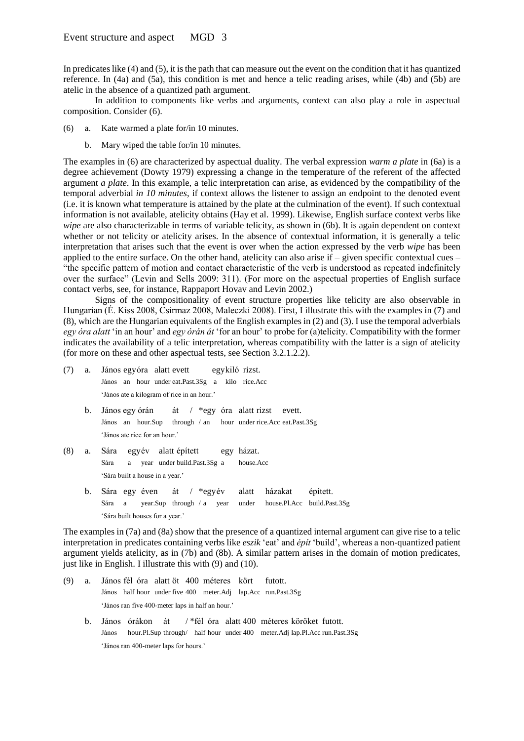In predicates like (4) and (5), it is the path that can measure out the event on the condition that it has quantized reference. In (4a) and (5a), this condition is met and hence a telic reading arises, while (4b) and (5b) are atelic in the absence of a quantized path argument.

In addition to components like verbs and arguments, context can also play a role in aspectual composition. Consider (6).

- (6) a. Kate warmed a plate for/in 10 minutes.
	- b. Mary wiped the table for/in 10 minutes.

The examples in (6) are characterized by aspectual duality. The verbal expression *warm a plate* in (6a) is a degree achievement (Dowty 1979) expressing a change in the temperature of the referent of the affected argument *a plate*. In this example, a telic interpretation can arise, as evidenced by the compatibility of the temporal adverbial *in 10 minutes*, if context allows the listener to assign an endpoint to the denoted event (i.e. it is known what temperature is attained by the plate at the culmination of the event). If such contextual information is not available, atelicity obtains (Hay et al. 1999). Likewise, English surface context verbs like *wipe* are also characterizable in terms of variable telicity, as shown in (6b). It is again dependent on context whether or not telicity or atelicity arises. In the absence of contextual information, it is generally a telic interpretation that arises such that the event is over when the action expressed by the verb *wipe* has been applied to the entire surface. On the other hand, atelicity can also arise if  $-$  given specific contextual cues  $-$ "the specific pattern of motion and contact characteristic of the verb is understood as repeated indefinitely over the surface" (Levin and Sells 2009: 311). (For more on the aspectual properties of English surface contact verbs, see, for instance, Rappaport Hovav and Levin 2002.)

Signs of the compositionality of event structure properties like telicity are also observable in Hungarian (É. Kiss 2008, Csirmaz 2008, Maleczki 2008). First, I illustrate this with the examples in (7) and (8), which are the Hungarian equivalents of the English examples in (2) and (3). I use the temporal adverbials *egy óra alatt* 'in an hour' and *egy órán át* 'for an hour' to probe for (a)telicity. Compatibility with the former indicates the availability of a telic interpretation, whereas compatibility with the latter is a sign of atelicity (for more on these and other aspectual tests, see Section 3.2.1.2.2).

- (7) a. János egyóra alatt evett egykiló rizst. János an hour under eat.Past.3Sg a kilo rice.Acc 'János ate a kilogram of rice in an hour.'
	- b. János egy órán át / \*egy óra alatt rizst evett. János an hour.Sup through / an hour under rice.Acc eat.Past.3Sg 'János ate rice for an hour.'
- (8) a. Sára egyév alatt épített egy házat. Sára a year under build.Past.3Sg a house.Acc 'Sára built a house in a year.'
	- b. Sára egy éven át / \*egyév alatt házakat épített. Sára a year.Sup through / a year under house.Pl.Acc build.Past.3Sg 'Sára built houses for a year.'

The examples in (7a) and (8a) show that the presence of a quantized internal argument can give rise to a telic interpretation in predicates containing verbs like *eszik* 'eat' and *épít* 'build', whereas a non-quantized patient argument yields atelicity, as in (7b) and (8b). A similar pattern arises in the domain of motion predicates, just like in English. I illustrate this with (9) and (10).

- (9) a. János fél óra alatt öt 400 méteres kört futott. János half hour under five 400 meter.Adj lap.Acc run.Past.3Sg 'János ran five 400-meter laps in half an hour.'
	- b. János órákon át / \*fél óra alatt 400 méteres köröket futott. János hour.Pl.Sup through/ half hour under 400 meter.Adj lap.Pl.Acc run.Past.3Sg 'János ran 400-meter laps for hours.'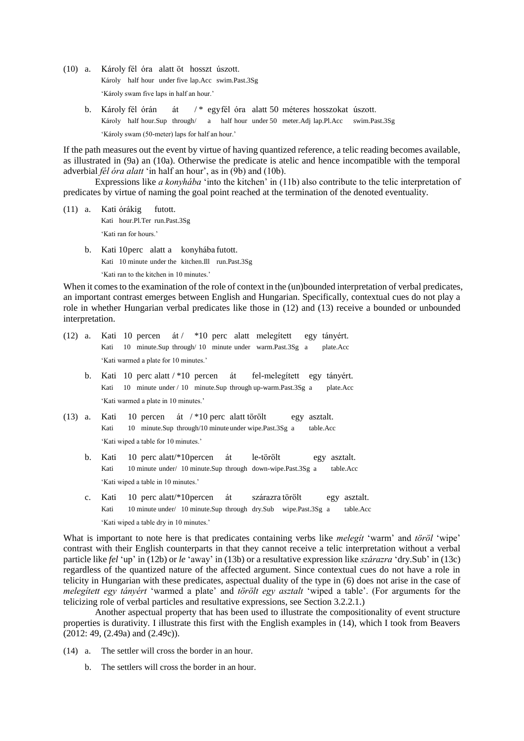- (10) a. Károly fél óra alatt öt hosszt úszott. Károly half hour under five lap.Acc swim.Past.3Sg 'Károly swam five laps in half an hour.'
	- b. Károly fél órán át /\* egyfél óra alatt 50 méteres hosszokat úszott. Károly half hour.Sup through/ a half hour under 50 meter.Adj lap.Pl.Acc swim.Past.3Sg 'Károly swam (50-meter) laps for half an hour.'

If the path measures out the event by virtue of having quantized reference, a telic reading becomes available, as illustrated in (9a) an (10a). Otherwise the predicate is atelic and hence incompatible with the temporal adverbial *fél óra alatt* 'in half an hour', as in (9b) and (10b).

Expressions like *a konyhába* 'into the kitchen' in (11b) also contribute to the telic interpretation of predicates by virtue of naming the goal point reached at the termination of the denoted eventuality.

- (11) a. Kati órákig futott. Kati hour.Pl.Ter run.Past.3Sg 'Kati ran for hours.'
	- b. Kati 10perc alatt a konyhába futott. Kati 10 minute under the kitchen.Ill run.Past.3Sg 'Kati ran to the kitchen in 10 minutes.'

When it comes to the examination of the role of context in the (un)bounded interpretation of verbal predicates, an important contrast emerges between English and Hungarian. Specifically, contextual cues do not play a role in whether Hungarian verbal predicates like those in (12) and (13) receive a bounded or unbounded interpretation.

|  |      |                                       |  |  | $(12)$ a. Kati 10 percen át $/$ *10 perc alatt melegített egy tányért. |  |
|--|------|---------------------------------------|--|--|------------------------------------------------------------------------|--|
|  | Kati |                                       |  |  | 10 minute.Sup through 10 minute under warm.Past.3Sg a plate.Acc        |  |
|  |      | 'Kati warmed a plate for 10 minutes.' |  |  |                                                                        |  |

- b. Kati 10 perc alatt / \*10 percen át fel-melegített egy tányért. Kati 10 minute under / 10 minute.Sup through up-warm.Past.3Sg a plate.Acc 'Kati warmed a plate in 10 minutes.'
- (13) a. Kati 10 percen át / \*10 perc alatt törölt egy asztalt. Kati 10 minute.Sup through/10 minute under wipe.Past.3Sg a table.Acc 'Kati wiped a table for 10 minutes.'
	- b. Kati 10 perc alatt/\*10percen át le-törölt egy asztalt. Kati 10 minute under/ 10 minute.Sup through down-wipe.Past.3Sg a table.Acc 'Kati wiped a table in 10 minutes.'
	- c. Kati 10 perc alatt/\*10percen át szárazra törölt egy asztalt. Kati 10 minute under/ 10 minute.Sup through dry.Sub wipe.Past.3Sg a table.Acc 'Kati wiped a table dry in 10 minutes.'

What is important to note here is that predicates containing verbs like *melegít* 'warm' and *töröl* 'wipe' contrast with their English counterparts in that they cannot receive a telic interpretation without a verbal particle like *fel* 'up' in (12b) or *le* 'away' in (13b) or a resultative expression like *szárazra* 'dry.Sub' in (13c) regardless of the quantized nature of the affected argument. Since contextual cues do not have a role in telicity in Hungarian with these predicates, aspectual duality of the type in (6) does not arise in the case of *melegített egy tányért* 'warmed a plate' and *törölt egy asztalt* 'wiped a table'. (For arguments for the telicizing role of verbal particles and resultative expressions, see Section 3.2.2.1.)

Another aspectual property that has been used to illustrate the compositionality of event structure properties is durativity. I illustrate this first with the English examples in (14), which I took from Beavers (2012: 49, (2.49a) and (2.49c)).

- (14) a. The settler will cross the border in an hour.
	- b. The settlers will cross the border in an hour.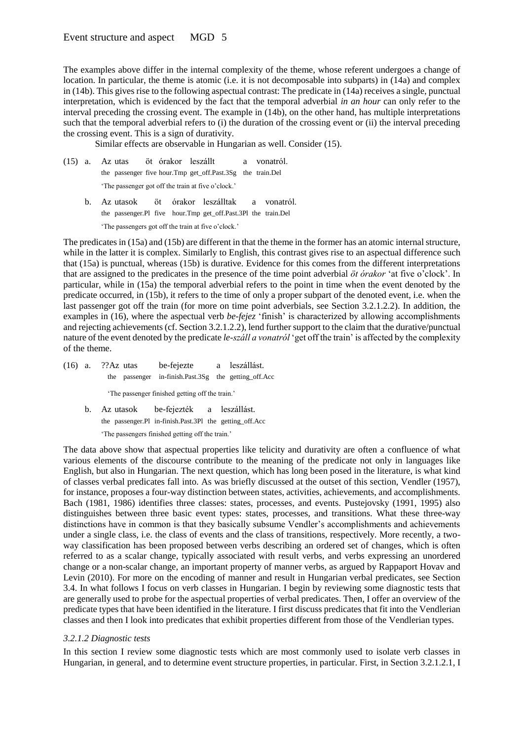The examples above differ in the internal complexity of the theme, whose referent undergoes a change of location. In particular, the theme is atomic (i.e. it is not decomposable into subparts) in (14a) and complex in (14b). This gives rise to the following aspectual contrast: The predicate in (14a) receives a single, punctual interpretation, which is evidenced by the fact that the temporal adverbial *in an hour* can only refer to the interval preceding the crossing event. The example in (14b), on the other hand, has multiple interpretations such that the temporal adverbial refers to (i) the duration of the crossing event or (ii) the interval preceding the crossing event. This is a sign of durativity.

Similar effects are observable in Hungarian as well. Consider (15).

- (15) a. Az utas öt órakor leszállt a vonatról. the passenger five hour.Tmp get\_off.Past.3Sg the train.Del 'The passenger got off the train at five o'clock.'
	- b. Az utasok öt órakor leszálltak a vonatról. the passenger.Pl five hour.Tmp get\_off.Past.3Pl the train.Del 'The passengers got off the train at five o'clock.'

The predicates in (15a) and (15b) are different in that the theme in the former has an atomic internal structure, while in the latter it is complex. Similarly to English, this contrast gives rise to an aspectual difference such that (15a) is punctual, whereas (15b) is durative. Evidence for this comes from the different interpretations that are assigned to the predicates in the presence of the time point adverbial *öt órakor* 'at five o'clock'. In particular, while in (15a) the temporal adverbial refers to the point in time when the event denoted by the predicate occurred, in (15b), it refers to the time of only a proper subpart of the denoted event, i.e. when the last passenger got off the train (for more on time point adverbials, see Section 3.2.1.2.2). In addition, the examples in (16), where the aspectual verb *be-fejez* 'finish' is characterized by allowing accomplishments and rejecting achievements (cf. Section 3.2.1.2.2), lend further support to the claim that the durative/punctual nature of the event denoted by the predicate *le-száll a vonatról* 'get off the train' is affected by the complexity of the theme.

- (16) a. ??Az utas be-fejezte a leszállást. the passenger in-finish.Past.3Sg the getting\_off.Acc 'The passenger finished getting off the train.'
	- b. Az utasok be-fejezték a leszállást. the passenger.Pl in-finish.Past.3Pl the getting\_off.Acc 'The passengers finished getting off the train.'

The data above show that aspectual properties like telicity and durativity are often a confluence of what various elements of the discourse contribute to the meaning of the predicate not only in languages like English, but also in Hungarian. The next question, which has long been posed in the literature, is what kind of classes verbal predicates fall into. As was briefly discussed at the outset of this section, Vendler (1957), for instance, proposes a four-way distinction between states, activities, achievements, and accomplishments. Bach (1981, 1986) identifies three classes: states, processes, and events. Pustejovsky (1991, 1995) also distinguishes between three basic event types: states, processes, and transitions. What these three-way distinctions have in common is that they basically subsume Vendler's accomplishments and achievements under a single class, i.e. the class of events and the class of transitions, respectively. More recently, a twoway classification has been proposed between verbs describing an ordered set of changes, which is often referred to as a scalar change, typically associated with result verbs, and verbs expressing an unordered change or a non-scalar change, an important property of manner verbs, as argued by Rappaport Hovav and Levin (2010). For more on the encoding of manner and result in Hungarian verbal predicates, see Section 3.4. In what follows I focus on verb classes in Hungarian. I begin by reviewing some diagnostic tests that are generally used to probe for the aspectual properties of verbal predicates. Then, I offer an overview of the predicate types that have been identified in the literature. I first discuss predicates that fit into the Vendlerian classes and then I look into predicates that exhibit properties different from those of the Vendlerian types.

## *3.2.1.2 Diagnostic tests*

In this section I review some diagnostic tests which are most commonly used to isolate verb classes in Hungarian, in general, and to determine event structure properties, in particular. First, in Section 3.2.1.2.1, I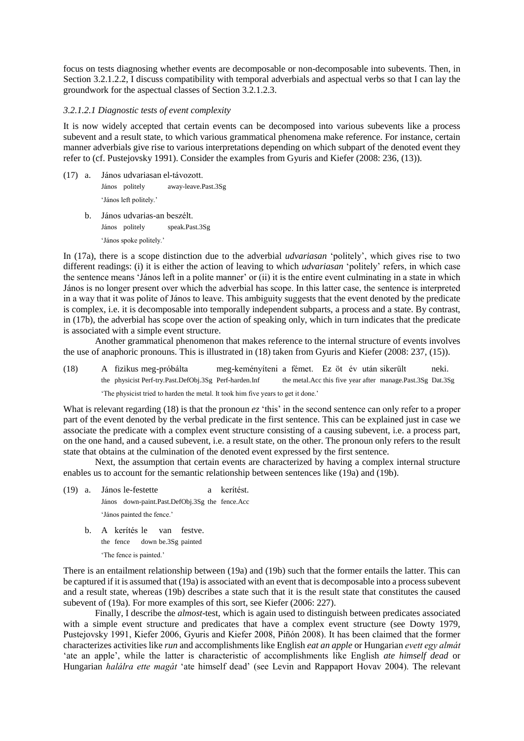focus on tests diagnosing whether events are decomposable or non-decomposable into subevents. Then, in Section 3.2.1.2.2, I discuss compatibility with temporal adverbials and aspectual verbs so that I can lay the groundwork for the aspectual classes of Section 3.2.1.2.3.

#### *3.2.1.2.1 Diagnostic tests of event complexity*

It is now widely accepted that certain events can be decomposed into various subevents like a process subevent and a result state, to which various grammatical phenomena make reference. For instance, certain manner adverbials give rise to various interpretations depending on which subpart of the denoted event they refer to (cf. Pustejovsky 1991). Consider the examples from Gyuris and Kiefer (2008: 236, (13)).

- (17) a. János udvariasan el-távozott. János politely away-leave.Past.3Sg 'János left politely.'
	- b. János udvarias-an beszélt. János politely speak.Past.3Sg 'János spoke politely.'

In (17a), there is a scope distinction due to the adverbial *udvariasan* 'politely', which gives rise to two different readings: (i) it is either the action of leaving to which *udvariasan* 'politely' refers, in which case the sentence means 'János left in a polite manner' or (ii) it is the entire event culminating in a state in which János is no longer present over which the adverbial has scope. In this latter case, the sentence is interpreted in a way that it was polite of János to leave. This ambiguity suggests that the event denoted by the predicate is complex, i.e. it is decomposable into temporally independent subparts, a process and a state. By contrast, in (17b), the adverbial has scope over the action of speaking only, which in turn indicates that the predicate is associated with a simple event structure.

Another grammatical phenomenon that makes reference to the internal structure of events involves the use of anaphoric pronouns. This is illustrated in (18) taken from Gyuris and Kiefer (2008: 237, (15)).

(18) A fizikus meg-próbálta meg-keményíteni a fémet. Ez öt év után sikerült neki. the physicist Perf-try.Past.DefObj.3Sg Perf-harden.Inf the metal.Acc this five year after manage.Past.3Sg Dat.3Sg 'The physicist tried to harden the metal. It took him five years to get it done.'

What is relevant regarding (18) is that the pronoun  $ez$  'this' in the second sentence can only refer to a proper part of the event denoted by the verbal predicate in the first sentence. This can be explained just in case we associate the predicate with a complex event structure consisting of a causing subevent, i.e. a process part, on the one hand, and a caused subevent, i.e. a result state, on the other. The pronoun only refers to the result state that obtains at the culmination of the denoted event expressed by the first sentence.

Next, the assumption that certain events are characterized by having a complex internal structure enables us to account for the semantic relationship between sentences like (19a) and (19b).

- (19) a. János le-festette a kerítést. János down-paint.Past.DefObj.3Sg the fence.Acc 'János painted the fence.'
	- b. A kerítés le van festve. the fence down be.3Sg painted 'The fence is painted.'

There is an entailment relationship between (19a) and (19b) such that the former entails the latter. This can be captured if it is assumed that (19a) is associated with an event that is decomposable into a process subevent and a result state, whereas (19b) describes a state such that it is the result state that constitutes the caused subevent of (19a). For more examples of this sort, see Kiefer (2006: 227).

Finally, I describe the *almost*-test, which is again used to distinguish between predicates associated with a simple event structure and predicates that have a complex event structure (see Dowty 1979, Pustejovsky 1991, Kiefer 2006, Gyuris and Kiefer 2008, Piñón 2008). It has been claimed that the former characterizes activities like *run* and accomplishments like English *eat an apple* or Hungarian *evett egy almát* 'ate an apple', while the latter is characteristic of accomplishments like English *ate himself dead* or Hungarian *halálra ette magát* 'ate himself dead' (see Levin and Rappaport Hovav 2004). The relevant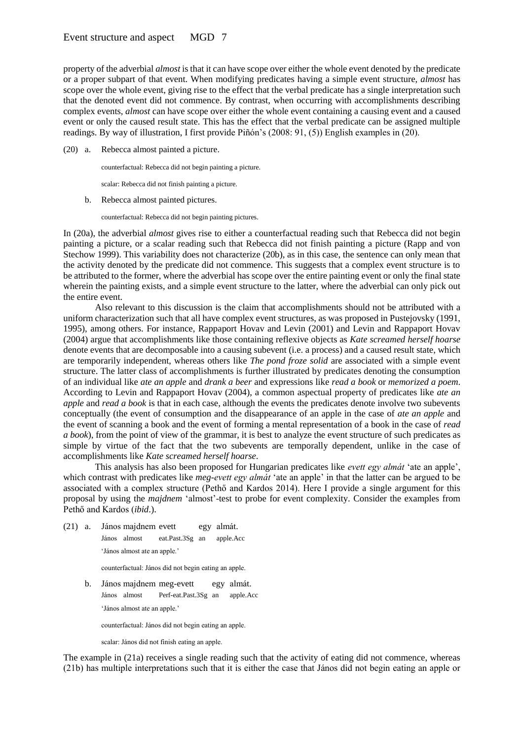## Event structure and aspect MGD 7

property of the adverbial *almost* is that it can have scope over either the whole event denoted by the predicate or a proper subpart of that event. When modifying predicates having a simple event structure, *almost* has scope over the whole event, giving rise to the effect that the verbal predicate has a single interpretation such that the denoted event did not commence. By contrast, when occurring with accomplishments describing complex events, *almost* can have scope over either the whole event containing a causing event and a caused event or only the caused result state. This has the effect that the verbal predicate can be assigned multiple readings. By way of illustration, I first provide Piñón's (2008: 91, (5)) English examples in (20).

(20) a. Rebecca almost painted a picture.

counterfactual: Rebecca did not begin painting a picture.

scalar: Rebecca did not finish painting a picture.

b. Rebecca almost painted pictures.

counterfactual: Rebecca did not begin painting pictures.

In (20a), the adverbial *almost* gives rise to either a counterfactual reading such that Rebecca did not begin painting a picture, or a scalar reading such that Rebecca did not finish painting a picture (Rapp and von Stechow 1999). This variability does not characterize (20b), as in this case, the sentence can only mean that the activity denoted by the predicate did not commence. This suggests that a complex event structure is to be attributed to the former, where the adverbial has scope over the entire painting event or only the final state wherein the painting exists, and a simple event structure to the latter, where the adverbial can only pick out the entire event.

Also relevant to this discussion is the claim that accomplishments should not be attributed with a uniform characterization such that all have complex event structures, as was proposed in Pustejovsky (1991, 1995), among others. For instance, Rappaport Hovav and Levin (2001) and Levin and Rappaport Hovav (2004) argue that accomplishments like those containing reflexive objects as *Kate screamed herself hoarse* denote events that are decomposable into a causing subevent (i.e. a process) and a caused result state, which are temporarily independent, whereas others like *The pond froze solid* are associated with a simple event structure. The latter class of accomplishments is further illustrated by predicates denoting the consumption of an individual like *ate an apple* and *drank a beer* and expressions like *read a book* or *memorized a poem*. According to Levin and Rappaport Hovav (2004), a common aspectual property of predicates like *ate an apple* and *read a book* is that in each case, although the events the predicates denote involve two subevents conceptually (the event of consumption and the disappearance of an apple in the case of *ate an apple* and the event of scanning a book and the event of forming a mental representation of a book in the case of *read a book*), from the point of view of the grammar, it is best to analyze the event structure of such predicates as simple by virtue of the fact that the two subevents are temporally dependent, unlike in the case of accomplishments like *Kate screamed herself hoarse*.

This analysis has also been proposed for Hungarian predicates like *evett egy almát* 'ate an apple', which contrast with predicates like *meg-evett egy almát* 'ate an apple' in that the latter can be argued to be associated with a complex structure (Pethő and Kardos 2014). Here I provide a single argument for this proposal by using the *majdnem* 'almost'-test to probe for event complexity. Consider the examples from Pethő and Kardos (*ibid*.).

(21) a. János majdnem evett egy almát. János almost eat.Past.3Sg an apple.Acc 'János almost ate an apple.'

counterfactual: János did not begin eating an apple.

b. János majdnem meg-evett egy almát. János almost Perf-eat.Past.3Sg an apple.Acc 'János almost ate an apple.'

counterfactual: János did not begin eating an apple.

scalar: János did not finish eating an apple.

The example in (21a) receives a single reading such that the activity of eating did not commence, whereas (21b) has multiple interpretations such that it is either the case that János did not begin eating an apple or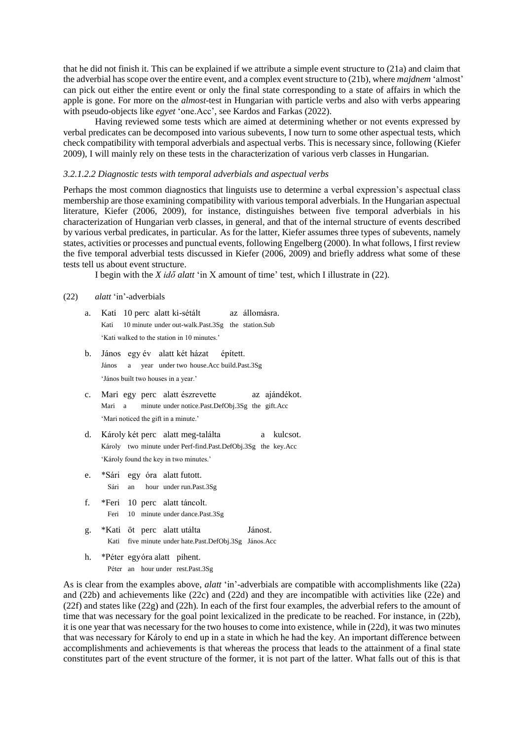that he did not finish it. This can be explained if we attribute a simple event structure to (21a) and claim that the adverbial has scope over the entire event, and a complex event structure to (21b), where *majdnem* 'almost' can pick out either the entire event or only the final state corresponding to a state of affairs in which the apple is gone. For more on the *almost*-test in Hungarian with particle verbs and also with verbs appearing with pseudo-objects like *egyet* 'one.Acc', see Kardos and Farkas (2022).

Having reviewed some tests which are aimed at determining whether or not events expressed by verbal predicates can be decomposed into various subevents, I now turn to some other aspectual tests, which check compatibility with temporal adverbials and aspectual verbs. This is necessary since, following (Kiefer 2009), I will mainly rely on these tests in the characterization of various verb classes in Hungarian.

#### *3.2.1.2.2 Diagnostic tests with temporal adverbials and aspectual verbs*

Perhaps the most common diagnostics that linguists use to determine a verbal expression's aspectual class membership are those examining compatibility with various temporal adverbials. In the Hungarian aspectual literature, Kiefer (2006, 2009), for instance, distinguishes between five temporal adverbials in his characterization of Hungarian verb classes, in general, and that of the internal structure of events described by various verbal predicates, in particular. As for the latter, Kiefer assumes three types of subevents, namely states, activities or processes and punctual events, following Engelberg (2000). In what follows, I first review the five temporal adverbial tests discussed in Kiefer (2006, 2009) and briefly address what some of these tests tell us about event structure.

I begin with the *X idő alatt* 'in X amount of time' test, which I illustrate in (22).

#### (22) *alatt* 'in'-adverbials

- a. Kati 10 perc alatt ki-sétált az állomásra. Kati 10 minute under out-walk.Past.3Sg the station.Sub 'Kati walked to the station in 10 minutes.'
- b. János egy év alatt két házat épített. János a year under two house.Acc build.Past.3Sg 'János built two houses in a year.'
- c. Mari egy perc alatt észrevette az ajándékot. Mari a minute under notice.Past.DefObj.3Sg the gift.Acc 'Mari noticed the gift in a minute.'
- d. Károly két perc alatt meg-találta a kulcsot. Károly two minute under Perf-find.Past.DefObj.3Sg the key.Acc 'Károly found the key in two minutes.'
- e. \*Sári egy óra alatt futott. Sári an hour under run.Past.3Sg
- f. \*Feri 10 perc alatt táncolt. Feri 10 minute under dance.Past.3Sg
- g. \*Kati öt perc alatt utálta Jánost. Kati five minute under hate.Past.DefObj.3Sg János.Acc
- h. \*Péter egyóra alatt pihent. Péter an hour under rest.Past.3Sg

As is clear from the examples above, *alatt* 'in'-adverbials are compatible with accomplishments like (22a) and (22b) and achievements like (22c) and (22d) and they are incompatible with activities like (22e) and (22f) and states like (22g) and (22h). In each of the first four examples, the adverbial refers to the amount of time that was necessary for the goal point lexicalized in the predicate to be reached. For instance, in (22b), it is one year that was necessary for the two houses to come into existence, while in (22d), it was two minutes that was necessary for Károly to end up in a state in which he had the key. An important difference between accomplishments and achievements is that whereas the process that leads to the attainment of a final state constitutes part of the event structure of the former, it is not part of the latter. What falls out of this is that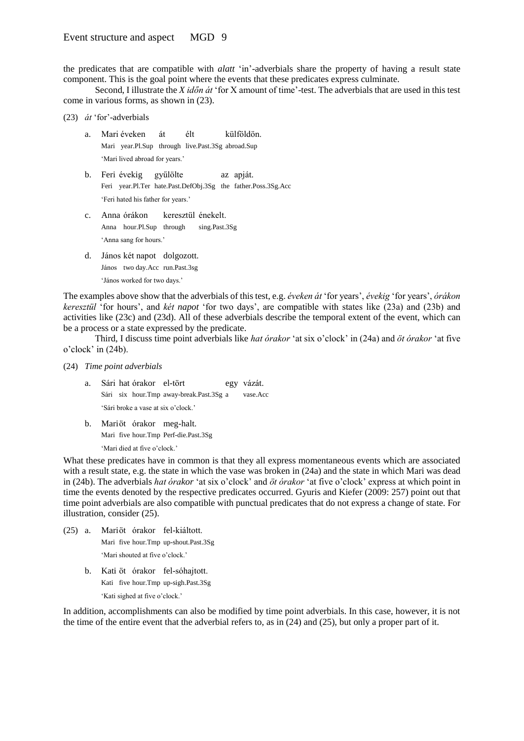the predicates that are compatible with *alatt* 'in'-adverbials share the property of having a result state component. This is the goal point where the events that these predicates express culminate.

Second, I illustrate the *X időn át* 'for X amount of time'-test. The adverbials that are used in this test come in various forms, as shown in (23).

- (23) *át* 'for'-adverbials
	- a. Mari éveken át élt külföldön. Mari year.Pl.Sup through live.Past.3Sg abroad.Sup 'Mari lived abroad for years.'
	- b. Feri évekig gyűlölte az apját. Feri year.Pl.Ter hate.Past.DefObj.3Sg the father.Poss.3Sg.Acc 'Feri hated his father for years.'
	- c. Anna órákon keresztül énekelt. Anna hour.Pl.Sup through sing.Past.3Sg 'Anna sang for hours.'
	- d. János két napot dolgozott. János two day.Acc run.Past.3sg 'János worked for two days.'

The examples above show that the adverbials of this test, e.g. *éveken át* 'for years', *évekig* 'for years', *órákon keresztül* 'for hours', and *két napot* 'for two days', are compatible with states like (23a) and (23b) and activities like (23c) and (23d). All of these adverbials describe the temporal extent of the event, which can be a process or a state expressed by the predicate.

Third, I discuss time point adverbials like *hat órakor* 'at six o'clock' in (24a) and *öt órakor* 'at five o'clock' in (24b).

- (24) *Time point adverbials*
	- a. Sári hat órakor el-tört egy vázát. Sári six hour.Tmp away-break.Past.3Sg a vase.Acc 'Sári broke a vase at six o'clock.'
	- b. Mariöt órakor meg-halt. Mari five hour.Tmp Perf-die.Past.3Sg 'Mari died at five o'clock.'

What these predicates have in common is that they all express momentaneous events which are associated with a result state, e.g. the state in which the vase was broken in  $(24a)$  and the state in which Mari was dead in (24b). The adverbials *hat órakor* 'at six o'clock' and *öt órakor* 'at five o'clock' express at which point in time the events denoted by the respective predicates occurred. Gyuris and Kiefer (2009: 257) point out that time point adverbials are also compatible with punctual predicates that do not express a change of state. For illustration, consider (25).

- (25) a. Mariöt órakor fel-kiáltott. Mari five hour.Tmp up-shout.Past.3Sg 'Mari shouted at five o'clock.'
	- b. Kati öt órakor fel-sóhajtott. Kati five hour.Tmp up-sigh.Past.3Sg 'Kati sighed at five o'clock.'

In addition, accomplishments can also be modified by time point adverbials. In this case, however, it is not the time of the entire event that the adverbial refers to, as in (24) and (25), but only a proper part of it.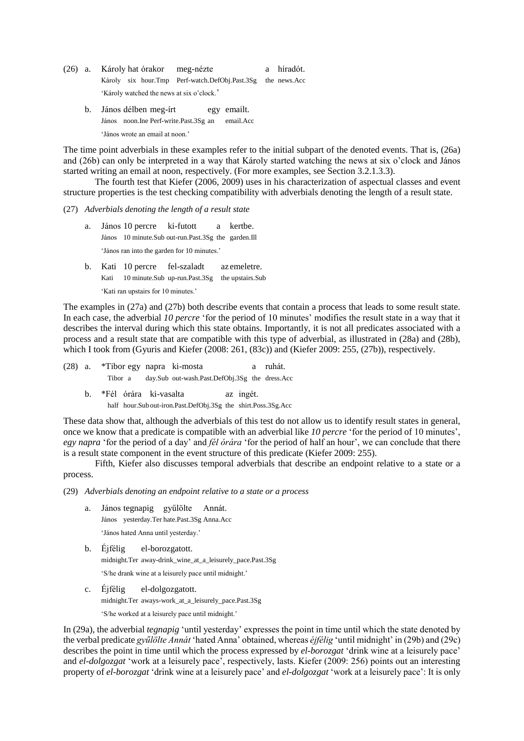- (26) a. Károly hat órakor meg-nézte a híradót. Károly six hour.Tmp Perf-watch.DefObj.Past.3Sg the news.Acc 'Károly watched the news at six o'clock.'
	- b. János délben meg-írt egy emailt. János noon.Ine Perf-write.Past.3Sg an email.Acc 'János wrote an email at noon.'

The time point adverbials in these examples refer to the initial subpart of the denoted events. That is, (26a) and (26b) can only be interpreted in a way that Károly started watching the news at six o'clock and János started writing an email at noon, respectively. (For more examples, see Section 3.2.1.3.3).

The fourth test that Kiefer (2006, 2009) uses in his characterization of aspectual classes and event structure properties is the test checking compatibility with adverbials denoting the length of a result state.

#### (27) *Adverbials denoting the length of a result state*

- a. János 10 percre ki-futott a kertbe. János 10 minute.Sub out-run.Past.3Sg the garden.Ill 'János ran into the garden for 10 minutes.'
- b. Kati 10 percre fel-szaladt az emeletre. Kati 10 minute.Sub up-run.Past.3Sg the upstairs.Sub 'Kati ran upstairs for 10 minutes.'

The examples in (27a) and (27b) both describe events that contain a process that leads to some result state. In each case, the adverbial *10 percre* 'for the period of 10 minutes' modifies the result state in a way that it describes the interval during which this state obtains. Importantly, it is not all predicates associated with a process and a result state that are compatible with this type of adverbial, as illustrated in (28a) and (28b), which I took from (Gyuris and Kiefer (2008: 261, (83c)) and (Kiefer 2009: 255, (27b)), respectively.

(28) a. \*Tibor egy napra ki-mosta a ruhát. Tibor a day.Sub out-wash.Past.DefObj.3Sg the dress.Acc

b. \*Fél órára ki-vasalta az ingét. half hour.Sub out-iron.Past.DefObj.3Sg the shirt.Poss.3Sg.Acc

These data show that, although the adverbials of this test do not allow us to identify result states in general, once we know that a predicate is compatible with an adverbial like *10 percre* 'for the period of 10 minutes', *egy napra* 'for the period of a day' and *fél órára* 'for the period of half an hour', we can conclude that there is a result state component in the event structure of this predicate (Kiefer 2009: 255).

Fifth, Kiefer also discusses temporal adverbials that describe an endpoint relative to a state or a process.

(29) *Adverbials denoting an endpoint relative to a state or a process*

- a. János tegnapig gyűlölte Annát. János yesterday.Ter hate.Past.3Sg Anna.Acc 'János hated Anna until yesterday.'
- b. Éjfélig el-borozgatott. midnight.Ter away-drink\_wine\_at\_a\_leisurely\_pace.Past.3Sg 'S/he drank wine at a leisurely pace until midnight.'
- c. Éjfélig el-dolgozgatott. midnight.Ter aways-work\_at\_a\_leisurely\_pace.Past.3Sg 'S/he worked at a leisurely pace until midnight.'

In (29a), the adverbial *tegnapig* 'until yesterday' expresses the point in time until which the state denoted by the verbal predicate *gyűlölte Annát* 'hated Anna' obtained, whereas *éjfélig* 'until midnight' in (29b) and (29c) describes the point in time until which the process expressed by *el-borozgat* 'drink wine at a leisurely pace' and *el-dolgozgat* 'work at a leisurely pace', respectively, lasts. Kiefer (2009: 256) points out an interesting property of *el-borozgat* 'drink wine at a leisurely pace' and *el-dolgozgat* 'work at a leisurely pace': It is only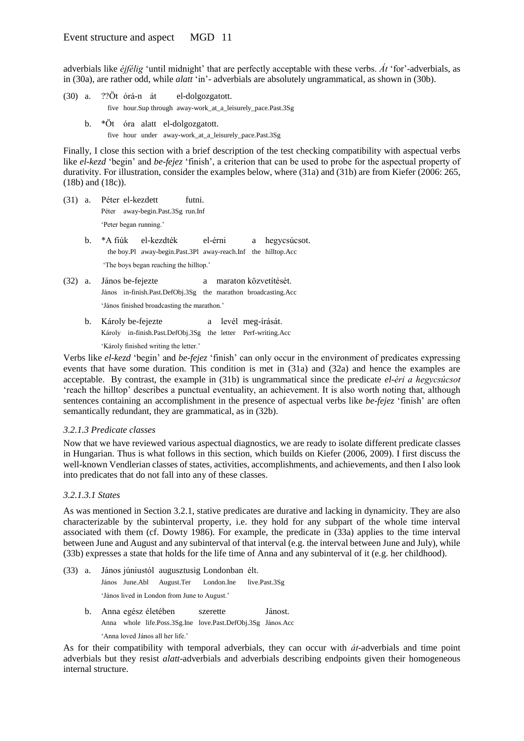adverbials like *éjfélig* 'until midnight' that are perfectly acceptable with these verbs. *Át* 'for'-adverbials, as in (30a), are rather odd, while *alatt* 'in'- adverbials are absolutely ungrammatical, as shown in (30b).

- (30) a. ??Öt órá-n át el-dolgozgatott. five hour.Sup through away-work\_at\_a\_leisurely\_pace.Past.3Sg
	- b. \*Öt óra alatt el-dolgozgatott. five hour under away-work\_at\_a\_leisurely\_pace.Past.3Sg

Finally, I close this section with a brief description of the test checking compatibility with aspectual verbs like *el-kezd* 'begin' and *be-fejez* 'finish', a criterion that can be used to probe for the aspectual property of durativity. For illustration, consider the examples below, where (31a) and (31b) are from Kiefer (2006: 265, (18b) and (18c)).

- (31) a. Péter el-kezdett futni. Péter away-begin.Past.3Sg run.Inf 'Peter began running.'
	- b. \*A fiúk el-kezdték el-érni a hegycsúcsot. the boy.Pl away-begin.Past.3Pl away-reach.Inf the hilltop.Acc 'The boys began reaching the hilltop.'
- (32) a. János be-fejezte a maraton közvetítését. János in-finish.Past.DefObj.3Sg the marathon broadcasting.Acc 'János finished broadcasting the marathon.'
	- b. Károly be-fejezte a levél meg-írását. Károly in-finish.Past.DefObj.3Sg the letter Perf-writing.Acc 'Károly finished writing the letter.'

Verbs like *el-kezd* 'begin' and *be-fejez* 'finish' can only occur in the environment of predicates expressing events that have some duration. This condition is met in (31a) and (32a) and hence the examples are acceptable. By contrast, the example in (31b) is ungrammatical since the predicate *el-éri a hegycsúcsot* 'reach the hilltop' describes a punctual eventuality, an achievement. It is also worth noting that, although sentences containing an accomplishment in the presence of aspectual verbs like *be-fejez* 'finish' are often semantically redundant, they are grammatical, as in (32b).

## *3.2.1.3 Predicate classes*

Now that we have reviewed various aspectual diagnostics, we are ready to isolate different predicate classes in Hungarian. Thus is what follows in this section, which builds on Kiefer (2006, 2009). I first discuss the well-known Vendlerian classes of states, activities, accomplishments, and achievements, and then I also look into predicates that do not fall into any of these classes.

## *3.2.1.3.1 States*

As was mentioned in Section 3.2.1, stative predicates are durative and lacking in dynamicity. They are also characterizable by the subinterval property, i.e. they hold for any subpart of the whole time interval associated with them (cf. Dowty 1986). For example, the predicate in (33a) applies to the time interval between June and August and any subinterval of that interval (e.g. the interval between June and July), while (33b) expresses a state that holds for the life time of Anna and any subinterval of it (e.g. her childhood).

- (33) a. János júniustól augusztusig Londonban élt. János June.Abl August.Ter London.Ine live.Past.3Sg 'János lived in London from June to August.'
	- b. Anna egész életében szerette Jánost. Anna whole life.Poss.3Sg.Ine love.Past.DefObj.3Sg János.Acc 'Anna loved János all her life.'

As for their compatibility with temporal adverbials, they can occur with *át*-adverbials and time point adverbials but they resist *alatt*-adverbials and adverbials describing endpoints given their homogeneous internal structure.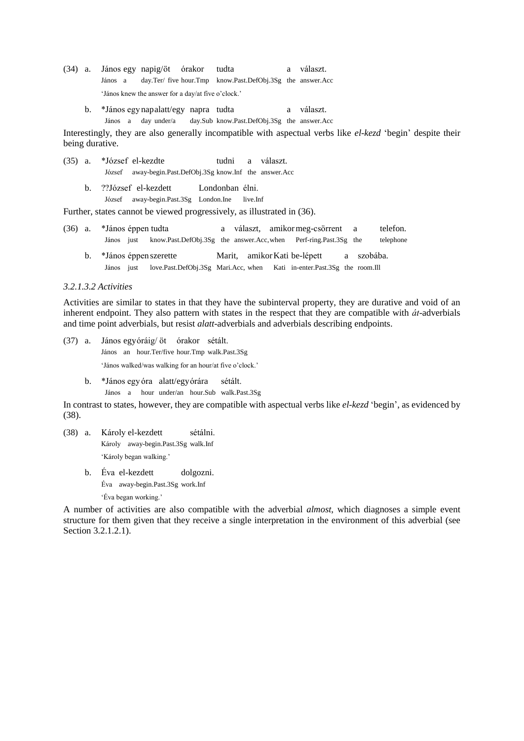- (34) a. János egy napig/öt órakor tudta a választ. János a day.Ter/ five hour.Tmp know.Past.DefObj.3Sg the answer.Acc 'János knew the answer for a day/at five o'clock.'
	- b. \*János egy napalatt/egy napra tudta a választ. János a day under/a day.Sub know.Past.DefObj.3Sg the answer.Acc

Interestingly, they are also generally incompatible with aspectual verbs like *el-kezd* 'begin' despite their being durative.

- (35) a. \*József el-kezdte tudni a választ. József away-begin.Past.DefObj.3Sg know.Inf the answer.Acc
	- b. ??József el-kezdett Londonban élni.
		- József away-begin.Past.3Sg London.Ine live.Inf

Further, states cannot be viewed progressively, as illustrated in (36).

- (36) a. \*János éppen tudta a választ, amikormeg-csörrent a telefon. János just know.Past.DefObj.3Sg the answer.Acc,when Perf-ring.Past.3Sg the telephone
	- b. \*János éppen szerette Marit, amikorKati be-lépett a szobába. János just love.Past.DefObj.3Sg Mari.Acc, when Kati in-enter.Past.3Sg the room.Ill

#### *3.2.1.3.2 Activities*

Activities are similar to states in that they have the subinterval property, they are durative and void of an inherent endpoint. They also pattern with states in the respect that they are compatible with *át*-adverbials and time point adverbials, but resist *alatt*-adverbials and adverbials describing endpoints.

- (37) a. János egyóráig/ öt órakor sétált. János an hour.Ter/five hour.Tmp walk.Past.3Sg 'János walked/was walking for an hour/at five o'clock.'
	- b. \*János egy óra alatt/egyórára sétált. János a hour under/an hour.Sub walk.Past.3Sg

In contrast to states, however, they are compatible with aspectual verbs like *el-kezd* 'begin', as evidenced by (38).

- (38) a. Károly el-kezdett sétálni. Károly away-begin.Past.3Sg walk.Inf 'Károly began walking.'
	- b. Éva el-kezdett dolgozni. Éva away-begin.Past.3Sg work.Inf

'Éva began working.'

A number of activities are also compatible with the adverbial *almost*, which diagnoses a simple event structure for them given that they receive a single interpretation in the environment of this adverbial (see Section 3.2.1.2.1).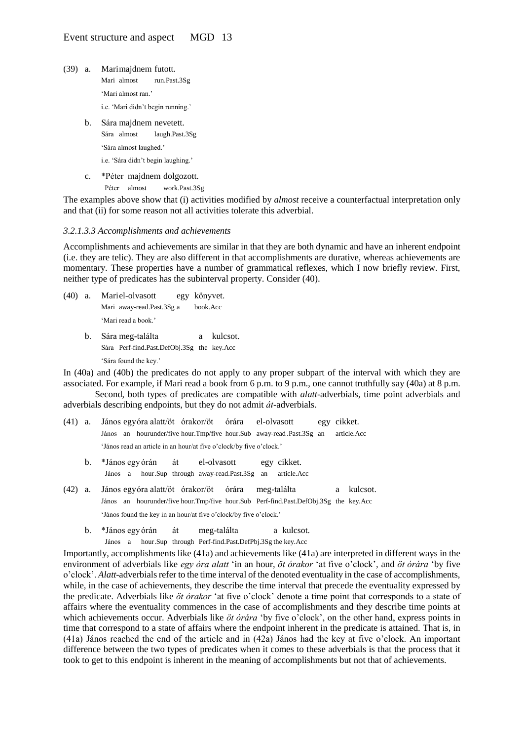- (39) a. Marimajdnem futott. Mari almost run.Past.3Sg 'Mari almost ran.' i.e. 'Mari didn't begin running.'
	- b. Sára majdnem nevetett. Sára almost laugh.Past.3Sg 'Sára almost laughed.' i.e. 'Sára didn't begin laughing.'
	- c. \*Péter majdnem dolgozott.

Péter almost work.Past.3Sg

The examples above show that (i) activities modified by *almost* receive a counterfactual interpretation only and that (ii) for some reason not all activities tolerate this adverbial.

#### *3.2.1.3.3 Accomplishments and achievements*

Accomplishments and achievements are similar in that they are both dynamic and have an inherent endpoint (i.e. they are telic). They are also different in that accomplishments are durative, whereas achievements are momentary. These properties have a number of grammatical reflexes, which I now briefly review. First, neither type of predicates has the subinterval property. Consider (40).

- (40) a. Mariel-olvasott egy könyvet. Mari away-read.Past.3Sg a book.Acc 'Mari read a book.'
	- b. Sára meg-találta a kulcsot. Sára Perf-find.Past.DefObj.3Sg the key.Acc 'Sára found the key.'

In (40a) and (40b) the predicates do not apply to any proper subpart of the interval with which they are associated. For example, if Mari read a book from 6 p.m. to 9 p.m., one cannot truthfully say (40a) at 8 p.m.

Second, both types of predicates are compatible with *alatt*-adverbials, time point adverbials and adverbials describing endpoints, but they do not admit *át*-adverbials.

- (41) a. János egyóra alatt/öt órakor/öt órára el-olvasott egy cikket. János an hourunder/five hour.Tmp/five hour.Sub away-read .Past.3Sg an article.Acc 'János read an article in an hour/at five o'clock/by five o'clock.'
	- b. \*János egy órán át el-olvasott egy cikket. János a hour.Sup through away-read.Past.3Sg an article.Acc
- (42) a. János egyóra alatt/öt órakor/öt órára meg-találta a kulcsot. János an hourunder/five hour.Tmp/five hour.Sub Perf-find.Past.DefObj.3Sg the key.Acc 'János found the key in an hour/at five o'clock/by five o'clock.'
	- b. \*János egy órán át meg-találta a kulcsot. János a hour.Sup through Perf-find.Past.DefPbj.3Sg the key.Acc

Importantly, accomplishments like (41a) and achievements like (41a) are interpreted in different ways in the environment of adverbials like *egy óra alatt* 'in an hour, *öt órakor* 'at five o'clock', and *öt órára* 'by five o'clock'. *Alatt*-adverbials refer to the time interval of the denoted eventuality in the case of accomplishments, while, in the case of achievements, they describe the time interval that precede the eventuality expressed by the predicate. Adverbials like *öt órakor* 'at five o'clock' denote a time point that corresponds to a state of affairs where the eventuality commences in the case of accomplishments and they describe time points at which achievements occur. Adverbials like *öt órára* 'by five o'clock', on the other hand, express points in time that correspond to a state of affairs where the endpoint inherent in the predicate is attained. That is, in (41a) János reached the end of the article and in (42a) János had the key at five o'clock. An important difference between the two types of predicates when it comes to these adverbials is that the process that it took to get to this endpoint is inherent in the meaning of accomplishments but not that of achievements.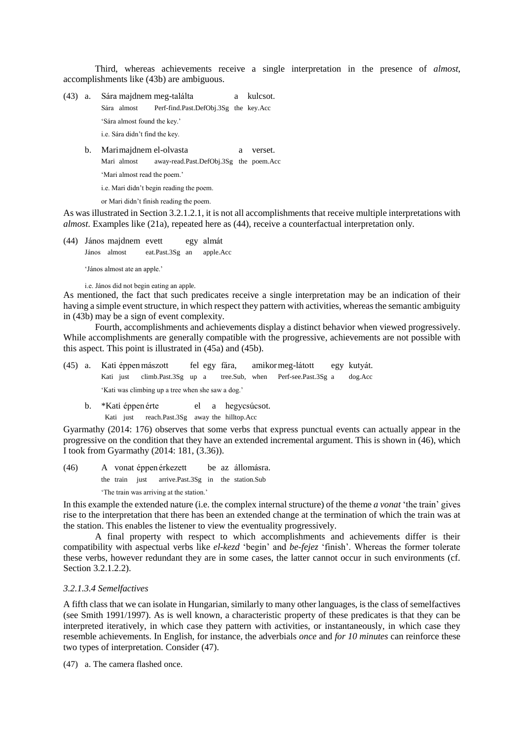Third, whereas achievements receive a single interpretation in the presence of *almost*, accomplishments like (43b) are ambiguous.

- (43) a. Sára majdnem meg-találta a kulcsot. Sára almost Perf-find.Past.DefObj.3Sg the key.Acc 'Sára almost found the key.' i.e. Sára didn't find the key.
	- b. Marimajdnem el-olvasta a verset. Mari almost away-read.Past.DefObj.3Sg the poem.Acc 'Mari almost read the poem.'

i.e. Mari didn't begin reading the poem.

or Mari didn't finish reading the poem.

As was illustrated in Section 3.2.1.2.1, it is not all accomplishments that receive multiple interpretations with *almost*. Examples like (21a), repeated here as (44), receive a counterfactual interpretation only.

(44) János majdnem evett egy almát János almost eat.Past.3Sg an apple.Acc

'János almost ate an apple.'

i.e. János did not begin eating an apple.

As mentioned, the fact that such predicates receive a single interpretation may be an indication of their having a simple event structure, in which respect they pattern with activities, whereas the semantic ambiguity in (43b) may be a sign of event complexity.

Fourth, accomplishments and achievements display a distinct behavior when viewed progressively. While accomplishments are generally compatible with the progressive, achievements are not possible with this aspect. This point is illustrated in (45a) and (45b).

- (45) a. Kati éppenmászott fel egy fára, amikormeg-látott egy kutyát. Kati just climb.Past.3Sg up a tree.Sub, when Perf-see.Past.3Sg a dog.Acc 'Kati was climbing up a tree when she saw a dog.'
	- b. \*Kati éppen érte el a hegycsúcsot.
		- Kati just reach.Past.3Sg away the hilltop.Acc

Gyarmathy (2014: 176) observes that some verbs that express punctual events can actually appear in the progressive on the condition that they have an extended incremental argument. This is shown in (46), which I took from Gyarmathy (2014: 181, (3.36)).

(46) A vonat éppen érkezett be az állomásra. the train just arrive.Past.3Sg in the station.Sub 'The train was arriving at the station.'

In this example the extended nature (i.e. the complex internal structure) of the theme *a vonat* 'the train' gives rise to the interpretation that there has been an extended change at the termination of which the train was at the station. This enables the listener to view the eventuality progressively.

A final property with respect to which accomplishments and achievements differ is their compatibility with aspectual verbs like *el-kezd* 'begin' and *be-fejez* 'finish'. Whereas the former tolerate these verbs, however redundant they are in some cases, the latter cannot occur in such environments (cf. Section 3.2.1.2.2).

#### *3.2.1.3.4 Semelfactives*

A fifth class that we can isolate in Hungarian, similarly to many other languages, is the class of semelfactives (see Smith 1991/1997). As is well known, a characteristic property of these predicates is that they can be interpreted iteratively, in which case they pattern with activities, or instantaneously, in which case they resemble achievements. In English, for instance, the adverbials *once* and *for 10 minutes* can reinforce these two types of interpretation. Consider (47).

(47) a. The camera flashed once.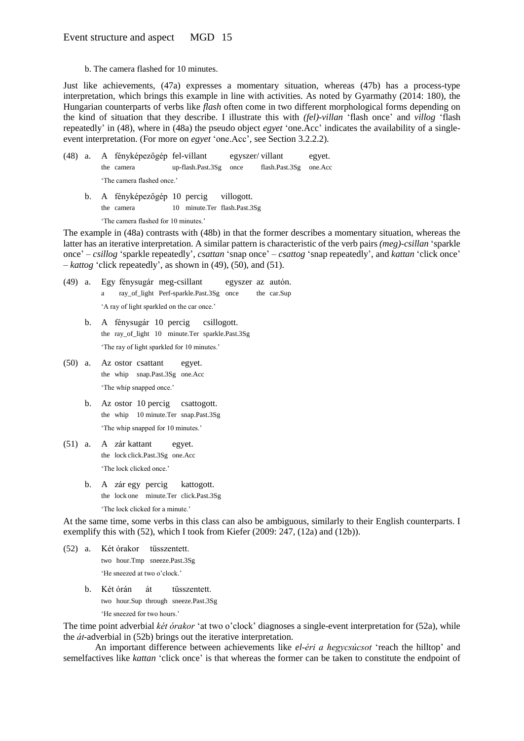b. The camera flashed for 10 minutes.

Just like achievements, (47a) expresses a momentary situation, whereas (47b) has a process-type interpretation, which brings this example in line with activities. As noted by Gyarmathy (2014: 180), the Hungarian counterparts of verbs like *flash* often come in two different morphological forms depending on the kind of situation that they describe. I illustrate this with *(fel)-villan* 'flash once' and *villog* 'flash repeatedly' in (48), where in (48a) the pseudo object *egyet* 'one.Acc' indicates the availability of a singleevent interpretation. (For more on *egyet* 'one.Acc', see Section 3.2.2.2).

- (48) a. A fényképezőgép fel-villant egyszer/ villant egyet. the camera up-flash.Past.3Sg once flash.Past.3Sg one.Acc 'The camera flashed once.'
	- b. A fényképezőgép 10 percig villogott. the camera 10 minute.Ter flash.Past.3Sg

'The camera flashed for 10 minutes.'

The example in (48a) contrasts with (48b) in that the former describes a momentary situation, whereas the latter has an iterative interpretation. A similar pattern is characteristic of the verb pairs *(meg)-csillan* 'sparkle once' – *csillog* 'sparkle repeatedly', *csattan* 'snap once' – *csattog* 'snap repeatedly', and *kattan* 'click once' – *kattog* 'click repeatedly', as shown in (49), (50), and (51).

- (49) a. Egy fénysugár meg-csillant egyszer az autón. a ray\_of\_light Perf-sparkle.Past.3Sg once the car.Sup 'A ray of light sparkled on the car once.'
	- b. A fénysugár 10 percig csillogott. the ray\_of\_light 10 minute.Ter sparkle.Past.3Sg 'The ray of light sparkled for 10 minutes.'
- (50) a. Az ostor csattant egyet. the whip snap.Past.3Sg one.Acc 'The whip snapped once.'
	- b. Az ostor 10 percig csattogott. the whip 10 minute.Ter snap.Past.3Sg 'The whip snapped for 10 minutes.'
- (51) a. A zár kattant egyet. the lock click.Past.3Sg one.Acc 'The lock clicked once.'
	- b. A zár egy percig kattogott. the lock one minute.Ter click.Past.3Sg 'The lock clicked for a minute.'

At the same time, some verbs in this class can also be ambiguous, similarly to their English counterparts. I exemplify this with (52), which I took from Kiefer (2009: 247, (12a) and (12b)).

- (52) a. Két órakor tüsszentett. two hour.Tmp sneeze.Past.3Sg 'He sneezed at two o'clock.'
	- b. Két órán át tüsszentett. two hour.Sup through sneeze.Past.3Sg 'He sneezed for two hours.'

The time point adverbial *két órakor* 'at two o'clock' diagnoses a single-event interpretation for (52a), while the *át*-adverbial in (52b) brings out the iterative interpretation.

An important difference between achievements like *el-éri a hegycsúcsot* 'reach the hilltop' and semelfactives like *kattan* 'click once' is that whereas the former can be taken to constitute the endpoint of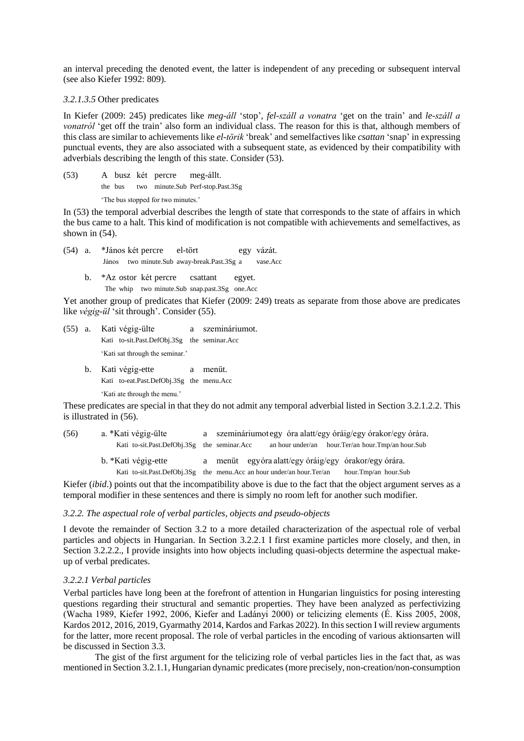an interval preceding the denoted event, the latter is independent of any preceding or subsequent interval (see also Kiefer 1992: 809).

#### *3.2.1.3.5* Other predicates

In Kiefer (2009: 245) predicates like *meg-áll* 'stop', *fel-száll a vonatra* 'get on the train' and *le-száll a vonatról* 'get off the train' also form an individual class. The reason for this is that, although members of this class are similar to achievements like *el-törik* 'break' and semelfactives like *csattan* 'snap' in expressing punctual events, they are also associated with a subsequent state, as evidenced by their compatibility with adverbials describing the length of this state. Consider (53).

- (53) A busz két percre meg-állt.
	- the bus two minute.Sub Perf-stop.Past.3Sg

'The bus stopped for two minutes.'

In (53) the temporal adverbial describes the length of state that corresponds to the state of affairs in which the bus came to a halt. This kind of modification is not compatible with achievements and semelfactives, as shown in  $(54)$ .

- (54) a. \*János két percre el-tört egy vázát. János two minute.Sub away-break.Past.3Sg a vase.Acc
	- b. \*Az ostor két percre csattant egyet. The whip two minute.Sub snap.past.3Sg one.Acc

Yet another group of predicates that Kiefer (2009: 249) treats as separate from those above are predicates like *végig-ül* 'sit through'. Consider (55).

- (55) a. Kati végig-ülte a szemináriumot. Kati to-sit.Past.DefObj.3Sg the seminar.Acc 'Kati sat through the seminar.'
	- b. Kati végig-ette a menüt. Kati to-eat.Past.DefObj.3Sg the menu.Acc 'Kati ate through the menu.'

These predicates are special in that they do not admit any temporal adverbial listed in Section 3.2.1.2.2. This is illustrated in (56).

- (56) a. \*Kati végig-ülte a szemináriumot egy óra alatt/egy óráig/egy órakor/egy órára. Kati to-sit.Past.DefObj.3Sg the seminar.Acc an hour under/an hour.Ter/an hour.Tmp/an hour.Sub
	- b. \*Kati végig-ette a menüt egyóra alatt/egy óráig/egy órakor/egy órára. Kati to-sit.Past.DefObj.3Sg the menu.Acc an hour under/an hour.Ter/an hour.Tmp/an hour.Sub

Kiefer *(ibid.)* points out that the incompatibility above is due to the fact that the object argument serves as a temporal modifier in these sentences and there is simply no room left for another such modifier.

#### *3.2.2. The aspectual role of verbal particles, objects and pseudo-objects*

I devote the remainder of Section 3.2 to a more detailed characterization of the aspectual role of verbal particles and objects in Hungarian. In Section 3.2.2.1 I first examine particles more closely, and then, in Section 3.2.2.2., I provide insights into how objects including quasi-objects determine the aspectual makeup of verbal predicates.

#### *3.2.2.1 Verbal particles*

Verbal particles have long been at the forefront of attention in Hungarian linguistics for posing interesting questions regarding their structural and semantic properties. They have been analyzed as perfectivizing (Wacha 1989, Kiefer 1992, 2006, Kiefer and Ladányi 2000) or telicizing elements (É. Kiss 2005, 2008, Kardos 2012, 2016, 2019, Gyarmathy 2014, Kardos and Farkas 2022). In this section I will review arguments for the latter, more recent proposal. The role of verbal particles in the encoding of various aktionsarten will be discussed in Section 3.3.

The gist of the first argument for the telicizing role of verbal particles lies in the fact that, as was mentioned in Section 3.2.1.1, Hungarian dynamic predicates(more precisely, non-creation/non-consumption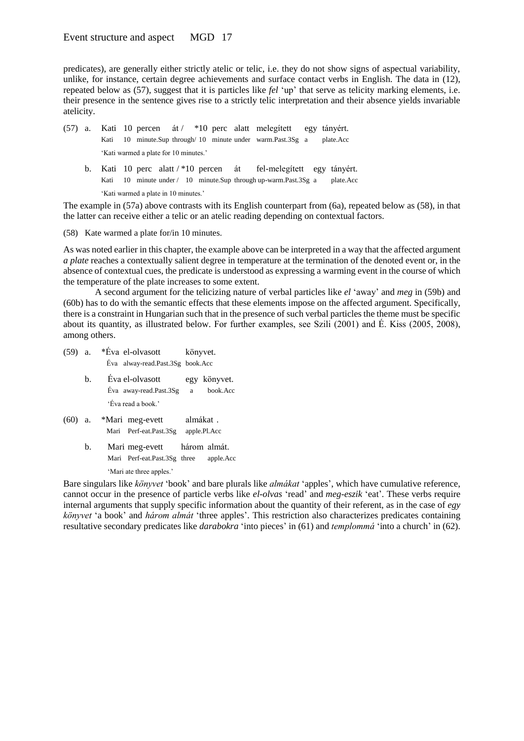predicates), are generally either strictly atelic or telic, i.e. they do not show signs of aspectual variability, unlike, for instance, certain degree achievements and surface contact verbs in English. The data in (12), repeated below as (57), suggest that it is particles like *fel* 'up' that serve as telicity marking elements, i.e. their presence in the sentence gives rise to a strictly telic interpretation and their absence yields invariable atelicity.

- (57) a. Kati 10 percen át / \*10 perc alatt melegített egy tányért. Kati 10 minute.Sup through/ 10 minute under warm.Past.3Sg a plate.Acc 'Kati warmed a plate for 10 minutes.'
	- b. Kati 10 perc alatt / \*10 percen át fel-melegített egy tányért. Kati 10 minute under / 10 minute.Sup through up-warm.Past.3Sg a plate.Acc 'Kati warmed a plate in 10 minutes.'

The example in (57a) above contrasts with its English counterpart from (6a), repeated below as (58), in that the latter can receive either a telic or an atelic reading depending on contextual factors.

(58) Kate warmed a plate for/in 10 minutes.

As was noted earlier in this chapter, the example above can be interpreted in a way that the affected argument *a plate* reaches a contextually salient degree in temperature at the termination of the denoted event or, in the absence of contextual cues, the predicate is understood as expressing a warming event in the course of which the temperature of the plate increases to some extent.

A second argument for the telicizing nature of verbal particles like *el* 'away' and *meg* in (59b) and (60b) has to do with the semantic effects that these elements impose on the affected argument. Specifically, there is a constraint in Hungarian such that in the presence of such verbal particles the theme must be specific about its quantity, as illustrated below. For further examples, see Szili (2001) and É. Kiss (2005, 2008), among others.

- (59) a. \*Éva el-olvasott könyvet. Éva alway-read.Past.3Sg book.Acc b. Éva el-olvasott egy könyvet. Éva away-read.Past.3Sg a book.Acc 'Éva read a book.' (60) a. \*Mari meg-evett almákat . Mari Perf-eat.Past.3Sg apple.Pl.Acc
	- b. Mari meg-evett három almát. Mari Perf-eat.Past.3Sg three apple.Acc 'Mari ate three apples.'

Bare singulars like *könyvet* 'book' and bare plurals like *almákat* 'apples', which have cumulative reference, cannot occur in the presence of particle verbs like *el-olvas* 'read' and *meg-eszik* 'eat'. These verbs require internal arguments that supply specific information about the quantity of their referent, as in the case of *egy könyvet* 'a book' and *három almát* 'three apples'. This restriction also characterizes predicates containing resultative secondary predicates like *darabokra* 'into pieces' in (61) and *templommá* 'into a church' in (62).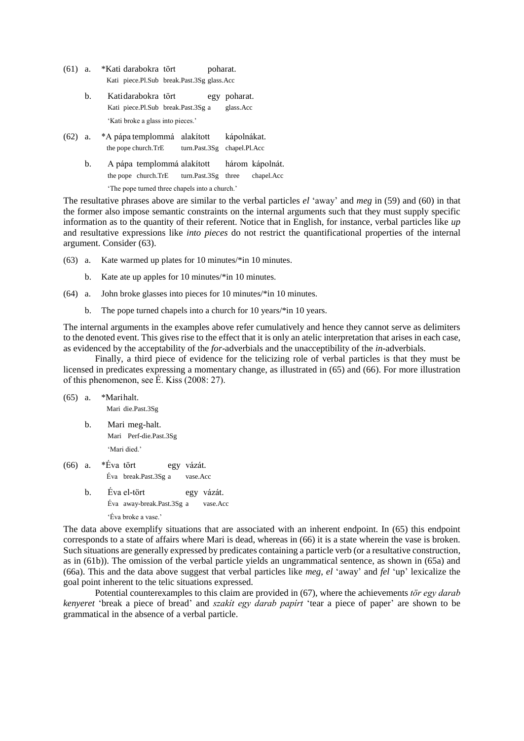- (61) a. \*Kati darabokra tört poharat. Kati piece.Pl.Sub break.Past.3Sg glass.Acc
	- b. Katidarabokra tört egy poharat. Kati piece.Pl.Sub break.Past.3Sg a glass.Acc 'Kati broke a glass into pieces.'
- (62) a. \*A pápa templommá alakított kápolnákat. the pope church.TrE turn.Past.3Sg chapel.Pl.Acc
	- b. A pápa templommá alakított három kápolnát. the pope church.TrE turn.Past.3Sg three chapel.Acc 'The pope turned three chapels into a church.'

The resultative phrases above are similar to the verbal particles *el* 'away' and *meg* in (59) and (60) in that the former also impose semantic constraints on the internal arguments such that they must supply specific information as to the quantity of their referent. Notice that in English, for instance, verbal particles like *up* and resultative expressions like *into pieces* do not restrict the quantificational properties of the internal argument. Consider (63).

- (63) a. Kate warmed up plates for 10 minutes/\*in 10 minutes.
	- b. Kate ate up apples for 10 minutes/\*in 10 minutes.
- (64) a. John broke glasses into pieces for 10 minutes/\*in 10 minutes.
	- b. The pope turned chapels into a church for 10 years/\*in 10 years.

The internal arguments in the examples above refer cumulatively and hence they cannot serve as delimiters to the denoted event. This gives rise to the effect that it is only an atelic interpretation that arises in each case, as evidenced by the acceptability of the *for*-adverbials and the unacceptibility of the *in*-adverbials.

Finally, a third piece of evidence for the telicizing role of verbal particles is that they must be licensed in predicates expressing a momentary change, as illustrated in (65) and (66). For more illustration of this phenomenon, see É. Kiss (2008: 27).

- (65) a. \*Marihalt. Mari die.Past.3Sg b. Mari meg-halt. Mari Perf-die.Past.3Sg 'Mari died.' (66) a. \*Éva tört egy vázát. Éva break.Past.3Sg a vase.Acc b. Éva el-tört egy vázát. Éva away-break.Past.3Sg a vase.Acc
	- 'Éva broke a vase.'

The data above exemplify situations that are associated with an inherent endpoint. In (65) this endpoint corresponds to a state of affairs where Mari is dead, whereas in (66) it is a state wherein the vase is broken. Such situations are generally expressed by predicates containing a particle verb (or a resultative construction, as in (61b)). The omission of the verbal particle yields an ungrammatical sentence, as shown in (65a) and (66a). This and the data above suggest that verbal particles like *meg*, *el* 'away' and *fel* 'up' lexicalize the goal point inherent to the telic situations expressed.

Potential counterexamples to this claim are provided in (67), where the achievements *tör egy darab kenyeret* 'break a piece of bread' and *szakít egy darab papírt* 'tear a piece of paper' are shown to be grammatical in the absence of a verbal particle.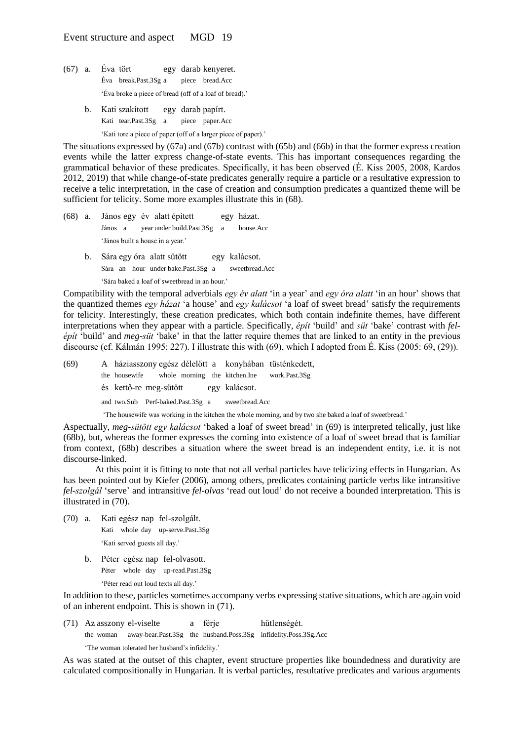- (67) a. Éva tört egy darab kenyeret. Éva break.Past.3Sg a piece bread.Acc 'Éva broke a piece of bread (off of a loaf of bread).'
	- b. Kati szakított egy darab papírt. Kati tear.Past.3Sg a piece paper.Acc

'Kati tore a piece of paper (off of a larger piece of paper).'

The situations expressed by (67a) and (67b) contrast with (65b) and (66b) in that the former express creation events while the latter express change-of-state events. This has important consequences regarding the grammatical behavior of these predicates. Specifically, it has been observed (É. Kiss 2005, 2008, Kardos 2012, 2019) that while change-of-state predicates generally require a particle or a resultative expression to receive a telic interpretation, in the case of creation and consumption predicates a quantized theme will be sufficient for telicity. Some more examples illustrate this in (68).

- (68) a. János egy év alatt épített egy házat. János a year under build.Past.3Sg a house.Acc 'János built a house in a year.'
	- b. Sára egy óra alatt sütött egy kalácsot. Sára an hour under bake.Past.3Sg a sweetbread.Acc 'Sára baked a loaf of sweetbread in an hour.'

Compatibility with the temporal adverbials *egy év alatt* 'in a year' and *egy óra alatt* 'in an hour' shows that the quantized themes *egy házat* 'a house' and *egy kalácsot* 'a loaf of sweet bread' satisfy the requirements for telicity. Interestingly, these creation predicates, which both contain indefinite themes, have different interpretations when they appear with a particle. Specifically, *épít* 'build' and *süt* 'bake' contrast with *felépít* 'build' and *meg-süt* 'bake' in that the latter require themes that are linked to an entity in the previous discourse (cf. Kálmán 1995: 227). I illustrate this with (69), which I adopted from É. Kiss (2005: 69, (29)).

(69) A háziasszony egész délelőtt a konyhában tüsténkedett, the housewife whole morning the kitchen.Ine work.Past.3Sg és kettő-re meg-sütött egy kalácsot. and two.Sub Perf-baked.Past.3Sg a sweetbread.Acc

'The housewife was working in the kitchen the whole morning, and by two she baked a loaf of sweetbread.'

Aspectually, *meg-sütött egy kalácsot* 'baked a loaf of sweet bread' in (69) is interpreted telically, just like (68b), but, whereas the former expresses the coming into existence of a loaf of sweet bread that is familiar from context, (68b) describes a situation where the sweet bread is an independent entity, i.e. it is not discourse-linked.

At this point it is fitting to note that not all verbal particles have telicizing effects in Hungarian. As has been pointed out by Kiefer (2006), among others, predicates containing particle verbs like intransitive *fel-szolgál* 'serve' and intransitive *fel-olvas* 'read out loud' do not receive a bounded interpretation. This is illustrated in (70).

- (70) a. Kati egész nap fel-szolgált. Kati whole day up-serve.Past.3Sg 'Kati served guests all day.'
	- b. Péter egész nap fel-olvasott. Péter whole day up-read.Past.3Sg 'Péter read out loud texts all day.'

In addition to these, particles sometimes accompany verbs expressing stative situations, which are again void of an inherent endpoint. This is shown in (71).

(71) Az asszony el-viselte a férje hűtlenségét.

the woman away-bear.Past.3Sg the husband.Poss.3Sg infidelity.Poss.3Sg.Acc

'The woman tolerated her husband's infidelity.'

As was stated at the outset of this chapter, event structure properties like boundedness and durativity are calculated compositionally in Hungarian. It is verbal particles, resultative predicates and various arguments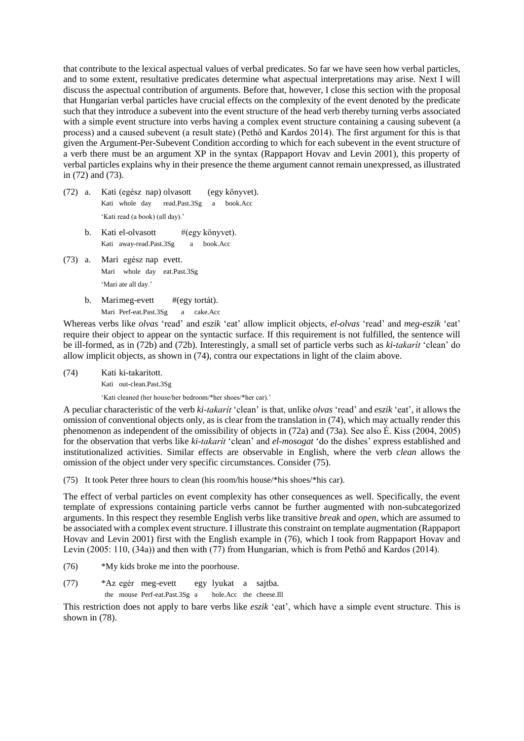that contribute to the lexical aspectual values of verbal predicates. So far we have seen how verbal particles, and to some extent, resultative predicates determine what aspectual interpretations may arise. Next I will discuss the aspectual contribution of arguments. Before that, however, I close this section with the proposal that Hungarian verbal particles have crucial effects on the complexity of the event denoted by the predicate such that they introduce a subevent into the event structure of the head verb thereby turning verbs associated with a simple event structure into verbs having a complex event structure containing a causing subevent (a process) and a caused subevent (a result state) (Pethő and Kardos 2014). The first argument for this is that given the Argument-Per-Subevent Condition according to which for each subevent in the event structure of a verb there must be an argument XP in the syntax (Rappaport Hovav and Levin 2001), this property of verbal particles explains why in their presence the theme argument cannot remain unexpressed, as illustrated in (72) and (73).

- (72) a. Kati (egész nap) olvasott (egy könyvet). Kati whole day read.Past.3Sg a book.Acc 'Kati read (a book) (all day).'
	- b. Kati el-olvasott #(egy könyvet). Kati away-read.Past.3Sg a book.Acc
- (73) a. Mari egész nap evett. Mari whole day eat.Past.3Sg 'Mari ate all day.'
	- b. Marimeg-evett #(egy tortát). Mari Perf-eat.Past.3Sg a cake.Acc

Whereas verbs like *olvas* 'read' and *eszik* 'eat' allow implicit objects, *el-olvas* 'read' and *meg-eszik* 'eat' require their object to appear on the syntactic surface. If this requirement is not fulfilled, the sentence will be ill-formed, as in (72b) and (72b). Interestingly, a small set of particle verbs such as *ki-takarít* 'clean' do allow implicit objects, as shown in (74), contra our expectations in light of the claim above.

(74) Kati ki-takarított.

Kati out-clean.Past.3Sg

'Kati cleaned (her house/her bedroom/\*her shoes/\*her car).'

A peculiar characteristic of the verb *ki-takarít* 'clean' is that, unlike *olvas* 'read' and *eszik* 'eat', it allows the omission of conventional objects only, as is clear from the translation in (74), which may actually render this phenomenon as independent of the omissibility of objects in (72a) and (73a). See also É. Kiss (2004, 2005) for the observation that verbs like *ki-takarít* 'clean' and *el-mosogat* 'do the dishes' express established and institutionalized activities. Similar effects are observable in English, where the verb *clean* allows the omission of the object under very specific circumstances. Consider (75).

(75) It took Peter three hours to clean (his room/his house/\*his shoes/\*his car).

The effect of verbal particles on event complexity has other consequences as well. Specifically, the event template of expressions containing particle verbs cannot be further augmented with non-subcategorized arguments. In this respect they resemble English verbs like transitive *break* and *open*, which are assumed to be associated with a complex event structure. I illustrate this constraint on template augmentation (Rappaport Hovav and Levin 2001) first with the English example in (76), which I took from Rappaport Hovav and Levin (2005: 110, (34a)) and then with (77) from Hungarian, which is from Pethő and Kardos (2014).

- (76) \*My kids broke me into the poorhouse.
- (77) \*Az egér meg-evett egy lyukat a sajtba. the mouse Perf-eat.Past.3Sg a hole.Acc the cheese.Ill

This restriction does not apply to bare verbs like *eszik* 'eat', which have a simple event structure. This is shown in (78).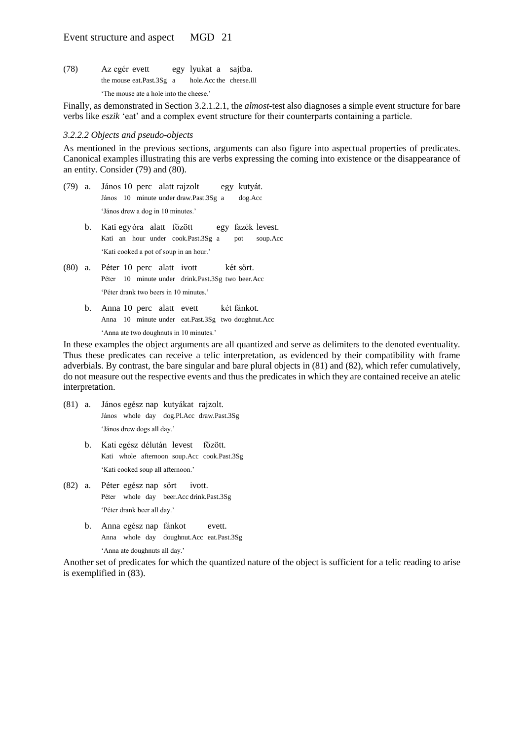(78) Az egér evett egy lyukat a sajtba. the mouse eat.Past.3Sg a hole.Acc the cheese.Ill 'The mouse ate a hole into the cheese.'

Finally, as demonstrated in Section 3.2.1.2.1, the *almost-*test also diagnoses a simple event structure for bare verbs like *eszik* 'eat' and a complex event structure for their counterparts containing a particle.

#### *3.2.2.2 Objects and pseudo-objects*

As mentioned in the previous sections, arguments can also figure into aspectual properties of predicates. Canonical examples illustrating this are verbs expressing the coming into existence or the disappearance of an entity. Consider (79) and (80).

- (79) a. János 10 perc alatt rajzolt egy kutyát. János 10 minute under draw.Past.3Sg a dog.Acc 'János drew a dog in 10 minutes.'
	- b. Kati egyóra alatt főzött egy fazék levest. Kati an hour under cook.Past.3Sg a pot soup.Acc 'Kati cooked a pot of soup in an hour.'
- (80) a. Péter 10 perc alatt ivott két sört. Péter 10 minute under drink.Past.3Sg two beer.Acc 'Péter drank two beers in 10 minutes.'
	- b. Anna 10 perc alatt evett két fánkot. Anna 10 minute under eat.Past.3Sg two doughnut.Acc 'Anna ate two doughnuts in 10 minutes.'

In these examples the object arguments are all quantized and serve as delimiters to the denoted eventuality. Thus these predicates can receive a telic interpretation, as evidenced by their compatibility with frame adverbials. By contrast, the bare singular and bare plural objects in (81) and (82), which refer cumulatively, do not measure out the respective events and thus the predicates in which they are contained receive an atelic interpretation.

- (81) a. János egész nap kutyákat rajzolt. János whole day dog.Pl.Acc draw.Past.3Sg 'János drew dogs all day.'
	- b. Kati egész délután levest főzött. Kati whole afternoon soup.Acc cook.Past.3Sg 'Kati cooked soup all afternoon.'
- (82) a. Péter egész nap sört ivott. Péter whole day beer.Acc drink.Past.3Sg 'Péter drank beer all day.'
	- b. Anna egész nap fánkot evett. Anna whole day doughnut.Acc eat.Past.3Sg 'Anna ate doughnuts all day.'

Another set of predicates for which the quantized nature of the object is sufficient for a telic reading to arise is exemplified in (83).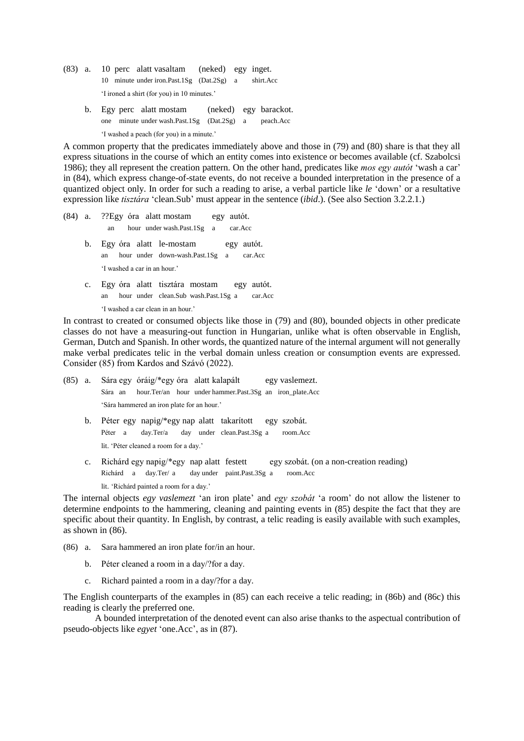- (83) a. 10 perc alatt vasaltam (neked) egy inget. 10 minute under iron.Past.1Sg (Dat.2Sg) a shirt.Acc 'I ironed a shirt (for you) in 10 minutes.'
	- b. Egy perc alatt mostam (neked) egy barackot. one minute under wash.Past.1Sg (Dat.2Sg) a peach.Acc 'I washed a peach (for you) in a minute.'

A common property that the predicates immediately above and those in (79) and (80) share is that they all express situations in the course of which an entity comes into existence or becomes available (cf. Szabolcsi 1986); they all represent the creation pattern. On the other hand, predicates like *mos egy autót* 'wash a car' in (84), which express change-of-state events, do not receive a bounded interpretation in the presence of a quantized object only. In order for such a reading to arise, a verbal particle like *le* 'down' or a resultative expression like *tisztára* 'clean.Sub' must appear in the sentence (*ibid*.). (See also Section 3.2.2.1.)

(84) a. ??Egy óra alatt mostam egy autót. an hour under wash.Past.1Sg a car.Acc b. Egy óra alatt le-mostam egy autót. an hour under down-wash.Past.1Sg a car.Acc 'I washed a car in an hour.' c. Egy óra alatt tisztára mostam egy autót. an hour under clean.Sub wash.Past.1Sg a car.Acc

'I washed a car clean in an hour.'

In contrast to created or consumed objects like those in (79) and (80), bounded objects in other predicate classes do not have a measuring-out function in Hungarian, unlike what is often observable in English, German, Dutch and Spanish. In other words, the quantized nature of the internal argument will not generally make verbal predicates telic in the verbal domain unless creation or consumption events are expressed. Consider (85) from Kardos and Szávó (2022).

- (85) a. Sára egy óráig/\*egy óra alatt kalapált egy vaslemezt. Sára an hour.Ter/an hour under hammer.Past.3Sg an iron\_plate.Acc 'Sára hammered an iron plate for an hour.'
	- b. Péter egy napig/\*egy nap alatt takarított egy szobát. Péter a day.Ter/a day under clean.Past.3Sg a room.Acc lit. 'Péter cleaned a room for a day.'
	- c. Richárd egy napig/\*egy nap alatt festett egy szobát. (on a non-creation reading) Richárd a day.Ter/ a day under paint.Past.3Sg a room.Acc lit. 'Richárd painted a room for a day.'

The internal objects *egy vaslemezt* 'an iron plate' and *egy szobát* 'a room' do not allow the listener to determine endpoints to the hammering, cleaning and painting events in (85) despite the fact that they are specific about their quantity. In English, by contrast, a telic reading is easily available with such examples, as shown in (86).

- (86) a. Sara hammered an iron plate for/in an hour.
	- b. Péter cleaned a room in a day/?for a day.
	- c. Richard painted a room in a day/?for a day.

The English counterparts of the examples in (85) can each receive a telic reading; in (86b) and (86c) this reading is clearly the preferred one.

A bounded interpretation of the denoted event can also arise thanks to the aspectual contribution of pseudo-objects like *egyet* 'one.Acc', as in (87).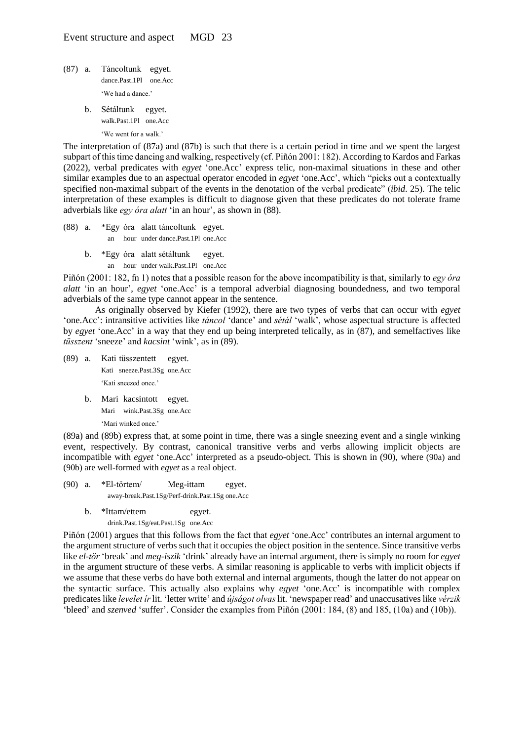- (87) a. Táncoltunk egyet. dance.Past.1Pl one.Acc 'We had a dance.'
	- b. Sétáltunk egyet. walk.Past.1Pl one.Acc 'We went for a walk.'

The interpretation of (87a) and (87b) is such that there is a certain period in time and we spent the largest subpart of this time dancing and walking, respectively (cf. Piñón 2001: 182). According to Kardos and Farkas (2022), verbal predicates with *egyet* 'one.Acc' express telic, non-maximal situations in these and other similar examples due to an aspectual operator encoded in *egyet* 'one.Acc', which "picks out a contextually specified non-maximal subpart of the events in the denotation of the verbal predicate" (*ibid*. 25). The telic interpretation of these examples is difficult to diagnose given that these predicates do not tolerate frame adverbials like *egy óra alatt* 'in an hour', as shown in (88).

- (88) a. \*Egy óra alatt táncoltunk egyet. an hour under dance.Past.1Pl one.Acc
	- b. \*Egy óra alatt sétáltunk egyet. an hour under walk.Past.1Pl one.Acc

Piñón (2001: 182, fn 1) notes that a possible reason for the above incompatibility is that, similarly to *egy óra alatt* 'in an hour', *egyet* 'one.Acc' is a temporal adverbial diagnosing boundedness, and two temporal adverbials of the same type cannot appear in the sentence.

As originally observed by Kiefer (1992), there are two types of verbs that can occur with *egyet* 'one.Acc': intransitive activities like *táncol* 'dance' and *sétál* 'walk', whose aspectual structure is affected by *egyet* 'one.Acc' in a way that they end up being interpreted telically, as in (87), and semelfactives like *tüsszent* 'sneeze' and *kacsint* 'wink', as in (89).

- (89) a. Kati tüsszentett egyet. Kati sneeze.Past.3Sg one.Acc 'Kati sneezed once.'
	- b. Mari kacsintott egyet. Mari wink.Past.3Sg one.Acc 'Mari winked once.'

(89a) and (89b) express that, at some point in time, there was a single sneezing event and a single winking event, respectively. By contrast, canonical transitive verbs and verbs allowing implicit objects are incompatible with *egyet* 'one.Acc' interpreted as a pseudo-object. This is shown in (90), where (90a) and (90b) are well-formed with *egyet* as a real object.

- (90) a. \*El-törtem/ Meg-ittam egyet. away-break.Past.1Sg/Perf-drink.Past.1Sg one.Acc
	- b. \*Ittam/ettem egyet. drink.Past.1Sg/eat.Past.1Sg one.Acc

Piñón (2001) argues that this follows from the fact that *egyet* 'one.Acc' contributes an internal argument to the argument structure of verbs such that it occupies the object position in the sentence. Since transitive verbs like *el-tör* 'break' and *meg-iszik* 'drink' already have an internal argument, there is simply no room for *egyet* in the argument structure of these verbs. A similar reasoning is applicable to verbs with implicit objects if we assume that these verbs do have both external and internal arguments, though the latter do not appear on the syntactic surface. This actually also explains why *egyet* 'one.Acc' is incompatible with complex predicates like *levelet ír* lit. 'letter write' and *újságot olvas*lit. 'newspaper read' and unaccusatives like *vérzik* 'bleed' and *szenved* 'suffer'. Consider the examples from Piñón (2001: 184, (8) and 185, (10a) and (10b)).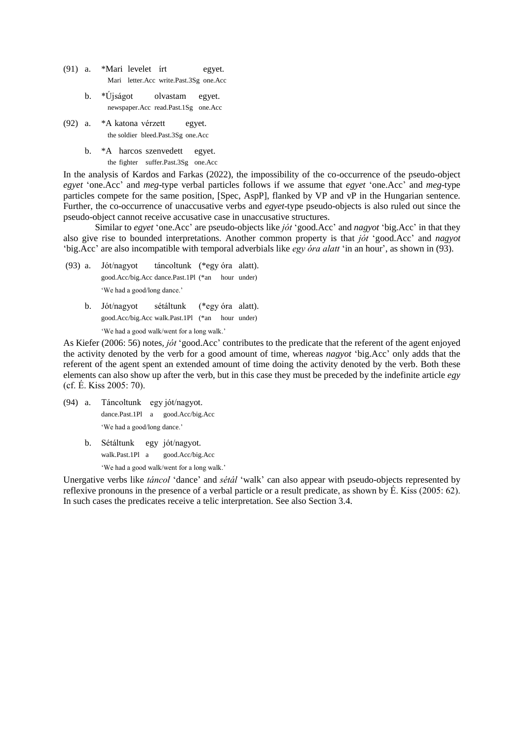- (91) a. \*Mari levelet írt egyet. Mari letter.Acc write.Past.3Sg one.Acc
	- b. \*Újságot olvastam egyet. newspaper.Acc read.Past.1Sg one.Acc
- (92) a. \*A katona vérzett egyet. the soldier bleed.Past.3Sg one.Acc
	- b. \*A harcos szenvedett egyet.

the fighter suffer.Past.3Sg one.Acc

In the analysis of Kardos and Farkas (2022), the impossibility of the co-occurrence of the pseudo-object *egyet* 'one.Acc' and *meg*-type verbal particles follows if we assume that *egyet* 'one.Acc' and *meg*-type particles compete for the same position, [Spec, AspP], flanked by VP and vP in the Hungarian sentence. Further, the co-occurrence of unaccusative verbs and *egyet*-type pseudo-objects is also ruled out since the pseudo-object cannot receive accusative case in unaccusative structures.

Similar to *egyet* 'one.Acc' are pseudo-objects like *jót* 'good.Acc' and *nagyot* 'big.Acc' in that they also give rise to bounded interpretations. Another common property is that *jót* 'good.Acc' and *nagyot* 'big.Acc' are also incompatible with temporal adverbials like *egy óra alatt* 'in an hour', as shown in (93).

- (93) a. Jót/nagyot táncoltunk (\*egy óra alatt). good.Acc/big.Acc dance.Past.1Pl (\*an hour under) 'We had a good/long dance.'
	- b. Jót/nagyot sétáltunk (\*egy óra alatt). good.Acc/big.Acc walk.Past.1Pl (\*an hour under) 'We had a good walk/went for a long walk.'

As Kiefer (2006: 56) notes, *jót* 'good.Acc' contributes to the predicate that the referent of the agent enjoyed the activity denoted by the verb for a good amount of time, whereas *nagyot* 'big.Acc' only adds that the referent of the agent spent an extended amount of time doing the activity denoted by the verb. Both these elements can also show up after the verb, but in this case they must be preceded by the indefinite article *egy*  (cf. É. Kiss 2005: 70).

- (94) a. Táncoltunk egy jót/nagyot. dance.Past.1Pl a good.Acc/big.Acc 'We had a good/long dance.'
	- b. Sétáltunk egy jót/nagyot. walk.Past.1Pl a good.Acc/big.Acc

'We had a good walk/went for a long walk.'

Unergative verbs like *táncol* 'dance' and *sétál* 'walk' can also appear with pseudo-objects represented by reflexive pronouns in the presence of a verbal particle or a result predicate, as shown by É. Kiss (2005: 62). In such cases the predicates receive a telic interpretation. See also Section 3.4.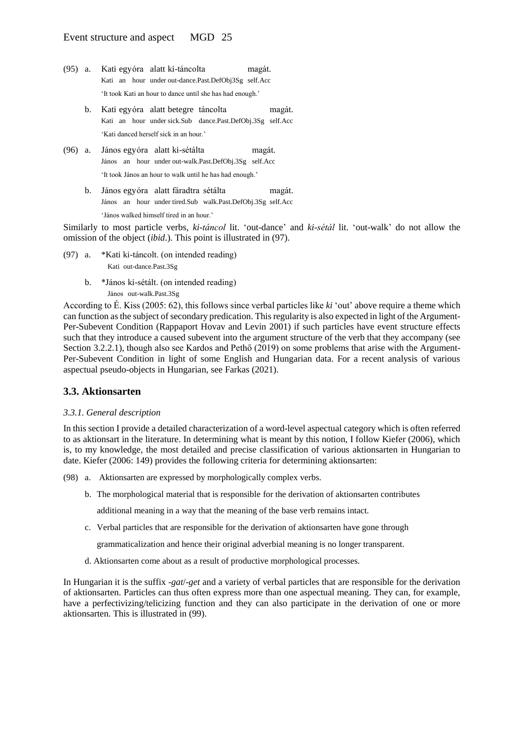- (95) a. Kati egyóra alatt ki-táncolta magát. Kati an hour under out-dance.Past.DefObj3Sg self.Acc 'It took Kati an hour to dance until she has had enough.'
	- b. Kati egyóra alatt betegre táncolta magát. Kati an hour under sick.Sub dance.Past.DefObj.3Sg self.Acc 'Kati danced herself sick in an hour.'
- (96) a. János egyóra alatt ki-sétálta magát. János an hour under out-walk.Past.DefObj.3Sg self.Acc 'It took János an hour to walk until he has had enough.'
	- b. János egyóra alatt fáradtra sétálta magát. János an hour under tired.Sub walk.Past.DefObj.3Sg self.Acc 'János walked himself tired in an hour.'

Similarly to most particle verbs, *ki-táncol* lit. 'out-dance' and *ki-sétál* lit. 'out-walk' do not allow the omission of the object (*ibid*.). This point is illustrated in (97).

- (97) a. \*Kati ki-táncolt. (on intended reading) Kati out-dance.Past.3Sg
	- b. \*János ki-sétált. (on intended reading) János out-walk.Past.3Sg

According to É. Kiss (2005: 62), this follows since verbal particles like *ki* 'out' above require a theme which can function as the subject of secondary predication. This regularity is also expected in light of the Argument-Per-Subevent Condition (Rappaport Hovav and Levin 2001) if such particles have event structure effects such that they introduce a caused subevent into the argument structure of the verb that they accompany (see Section 3.2.2.1), though also see Kardos and Pethő (2019) on some problems that arise with the Argument-Per-Subevent Condition in light of some English and Hungarian data. For a recent analysis of various aspectual pseudo-objects in Hungarian, see Farkas (2021).

# **3.3. Aktionsarten**

## *3.3.1. General description*

In this section I provide a detailed characterization of a word-level aspectual category which is often referred to as aktionsart in the literature. In determining what is meant by this notion, I follow Kiefer (2006), which is, to my knowledge, the most detailed and precise classification of various aktionsarten in Hungarian to date. Kiefer (2006: 149) provides the following criteria for determining aktionsarten:

- (98) a. Aktionsarten are expressed by morphologically complex verbs.
	- b. The morphological material that is responsible for the derivation of aktionsarten contributes

additional meaning in a way that the meaning of the base verb remains intact.

c. Verbal particles that are responsible for the derivation of aktionsarten have gone through

grammaticalization and hence their original adverbial meaning is no longer transparent.

d. Aktionsarten come about as a result of productive morphological processes.

In Hungarian it is the suffix -*gat*/-*get* and a variety of verbal particles that are responsible for the derivation of aktionsarten. Particles can thus often express more than one aspectual meaning. They can, for example, have a perfectivizing/telicizing function and they can also participate in the derivation of one or more aktionsarten. This is illustrated in (99).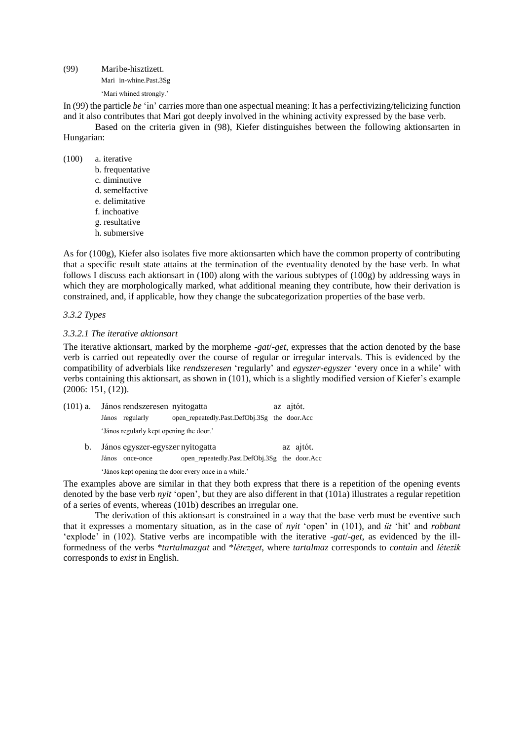(99) Maribe-hisztizett. Mari in-whine.Past.3Sg 'Mari whined strongly.'

In (99) the particle *be* 'in' carries more than one aspectual meaning: It has a perfectivizing/telicizing function and it also contributes that Mari got deeply involved in the whining activity expressed by the base verb.

Based on the criteria given in (98), Kiefer distinguishes between the following aktionsarten in Hungarian:

(100) a. iterative

- b. frequentative
- c. diminutive
- d. semelfactive
- e. delimitative
- f. inchoative
- g. resultative
- h. submersive

As for (100g), Kiefer also isolates five more aktionsarten which have the common property of contributing that a specific result state attains at the termination of the eventuality denoted by the base verb. In what follows I discuss each aktionsart in (100) along with the various subtypes of (100g) by addressing ways in which they are morphologically marked, what additional meaning they contribute, how their derivation is constrained, and, if applicable, how they change the subcategorization properties of the base verb.

#### *3.3.2 Types*

#### *3.3.2.1 The iterative aktionsart*

The iterative aktionsart, marked by the morpheme -*gat*/-*get*, expresses that the action denoted by the base verb is carried out repeatedly over the course of regular or irregular intervals. This is evidenced by the compatibility of adverbials like *rendszeresen* 'regularly' and *egyszer-egyszer* 'every once in a while' with verbs containing this aktionsart, as shown in (101), which is a slightly modified version of Kiefer's example (2006: 151, (12)).

| $(101)$ a. |       | János rendszeresen nyitogatta            |                                              | az ajtót. |  |
|------------|-------|------------------------------------------|----------------------------------------------|-----------|--|
|            |       | János regularly                          | open_repeatedly.Past.DefObj.3Sg the door.Acc |           |  |
|            |       | 'János regularly kept opening the door.' |                                              |           |  |
| b.         |       | János egyszer-egyszer nyitogatta         |                                              | az ajtót. |  |
|            | János | once-once                                | open_repeatedly.Past.DefObj.3Sg the door.Acc |           |  |

'János kept opening the door every once in a while.'

The examples above are similar in that they both express that there is a repetition of the opening events denoted by the base verb *nyit* 'open', but they are also different in that (101a) illustrates a regular repetition of a series of events, whereas (101b) describes an irregular one.

The derivation of this aktionsart is constrained in a way that the base verb must be eventive such that it expresses a momentary situation, as in the case of *nyit* 'open' in (101), and *üt* 'hit' and *robbant* 'explode' in (102). Stative verbs are incompatible with the iterative -*gat*/-*get*, as evidenced by the illformedness of the verbs \**tartalmazgat* and \**létezget*, where *tartalmaz* corresponds to *contain* and *létezik* corresponds to *exist* in English.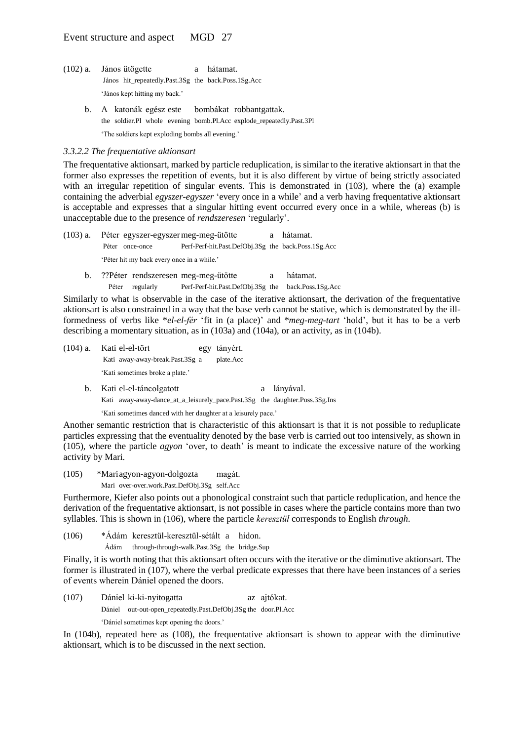- (102) a. János ütögette a hátamat. János hit\_repeatedly.Past.3Sg the back.Poss.1Sg.Acc 'János kept hitting my back.'
	- b. A katonák egész este bombákat robbantgattak. the soldier.Pl whole evening bomb.Pl.Acc explode\_repeatedly.Past.3Pl 'The soldiers kept exploding bombs all evening.'

#### *3.3.2.2 The frequentative aktionsart*

The frequentative aktionsart, marked by particle reduplication, is similar to the iterative aktionsart in that the former also expresses the repetition of events, but it is also different by virtue of being strictly associated with an irregular repetition of singular events. This is demonstrated in (103), where the (a) example containing the adverbial *egyszer-egyszer* 'every once in a while' and a verb having frequentative aktionsart is acceptable and expresses that a singular hitting event occurred every once in a while, whereas (b) is unacceptable due to the presence of *rendszeresen* 'regularly'.

- (103) a. Péter egyszer-egyszermeg-meg-ütötte a hátamat. Péter once-once Perf-Perf-hit.Past.DefObj.3Sg the back.Poss.1Sg.Acc 'Péter hit my back every once in a while.'
	- b. ??Péter rendszeresen meg-meg-ütötte a hátamat. Péter regularly Perf-Perf-hit.Past.DefObj.3Sg the back.Poss.1Sg.Acc

Similarly to what is observable in the case of the iterative aktionsart, the derivation of the frequentative aktionsart is also constrained in a way that the base verb cannot be stative, which is demonstrated by the illformedness of verbs like \**el-el-fér* 'fit in (a place)' and \**meg-meg-tart* 'hold', but it has to be a verb describing a momentary situation, as in (103a) and (104a), or an activity, as in (104b).

- (104) a. Kati el-el-tört egy tányért. Kati away-away-break.Past.3Sg a plate.Acc 'Kati sometimes broke a plate.'
	- b. Kati el-el-táncolgatott a lányával. Kati away-away-dance\_at\_a\_leisurely\_pace.Past.3Sg the daughter.Poss.3Sg.Ins

'Kati sometimes danced with her daughter at a leisurely pace.'

Another semantic restriction that is characteristic of this aktionsart is that it is not possible to reduplicate particles expressing that the eventuality denoted by the base verb is carried out too intensively, as shown in (105), where the particle *agyon* 'over, to death' is meant to indicate the excessive nature of the working activity by Mari.

(105) \*Mariagyon-agyon-dolgozta magát. Mari over-over.work.Past.DefObj.3Sg self.Acc

Furthermore, Kiefer also points out a phonological constraint such that particle reduplication, and hence the derivation of the frequentative aktionsart, is not possible in cases where the particle contains more than two syllables. This is shown in (106), where the particle *keresztül* corresponds to English *through*.

(106) \*Ádám keresztül-keresztül-sétált a hídon.

Ádám through-through-walk.Past.3Sg the bridge.Sup

Finally, it is worth noting that this aktionsart often occurs with the iterative or the diminutive aktionsart. The former is illustrated in (107), where the verbal predicate expresses that there have been instances of a series of events wherein Dániel opened the doors.

(107) Dániel ki-ki-nyitogatta az ajtókat. Dániel out-out-open\_repeatedly.Past.DefObj.3Sg the door.Pl.Acc 'Dániel sometimes kept opening the doors.'

In (104b), repeated here as (108), the frequentative aktionsart is shown to appear with the diminutive aktionsart, which is to be discussed in the next section.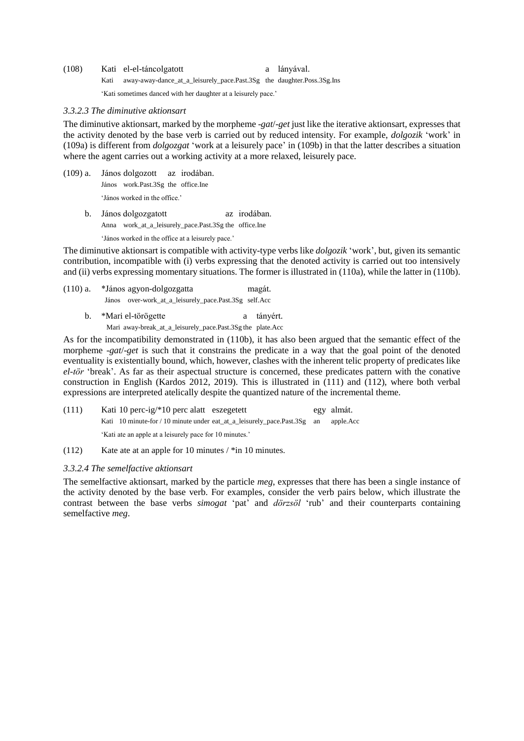(108) Kati el-el-táncolgatott a lányával. Kati away-away-dance\_at\_a\_leisurely\_pace.Past.3Sg the daughter.Poss.3Sg.Ins 'Kati sometimes danced with her daughter at a leisurely pace.'

#### *3.3.2.3 The diminutive aktionsart*

The diminutive aktionsart, marked by the morpheme -*gat*/-*get* just like the iterative aktionsart, expresses that the activity denoted by the base verb is carried out by reduced intensity. For example, *dolgozik* 'work' in (109a) is different from *dolgozgat* 'work at a leisurely pace' in (109b) in that the latter describes a situation where the agent carries out a working activity at a more relaxed, leisurely pace.

(109) a. János dolgozott az irodában. János work.Past.3Sg the office.Ine

'János worked in the office.'

b. János dolgozgatott az irodában. Anna work\_at\_a\_leisurely\_pace.Past.3Sg the office.Ine

'János worked in the office at a leisurely pace.'

The diminutive aktionsart is compatible with activity-type verbs like *dolgozik* 'work', but, given its semantic contribution, incompatible with (i) verbs expressing that the denoted activity is carried out too intensively and (ii) verbs expressing momentary situations. The former is illustrated in (110a), while the latter in (110b).

- (110) a. \*János agyon-dolgozgatta magát. János over-work\_at\_a\_leisurely\_pace.Past.3Sg self.Acc
	- b. \*Mari el-törögette a tányért. Mari away-break\_at\_a\_leisurely\_pace.Past.3Sg the plate.Acc

As for the incompatibility demonstrated in (110b), it has also been argued that the semantic effect of the morpheme -*gat*/-*get* is such that it constrains the predicate in a way that the goal point of the denoted eventuality is existentially bound, which, however, clashes with the inherent telic property of predicates like *el*-*tör* 'break'. As far as their aspectual structure is concerned, these predicates pattern with the conative construction in English (Kardos 2012, 2019). This is illustrated in (111) and (112), where both verbal expressions are interpreted atelically despite the quantized nature of the incremental theme.

| (111) | Kati 10 perc-ig/ $*10$ perc alatt eszegetett            |                                                                             | egy almát. |
|-------|---------------------------------------------------------|-----------------------------------------------------------------------------|------------|
|       |                                                         | Kati 10 minute-for / 10 minute under eat at a leisurely pace. Past $3Sg$ an | apple.Acc  |
|       | 'Kati ate an apple at a leisurely pace for 10 minutes.' |                                                                             |            |

(112) Kate ate at an apple for 10 minutes / \*in 10 minutes.

## *3.3.2.4 The semelfactive aktionsart*

The semelfactive aktionsart, marked by the particle *meg*, expresses that there has been a single instance of the activity denoted by the base verb. For examples, consider the verb pairs below, which illustrate the contrast between the base verbs *simogat* 'pat' and *dörzsöl* 'rub' and their counterparts containing semelfactive *meg*.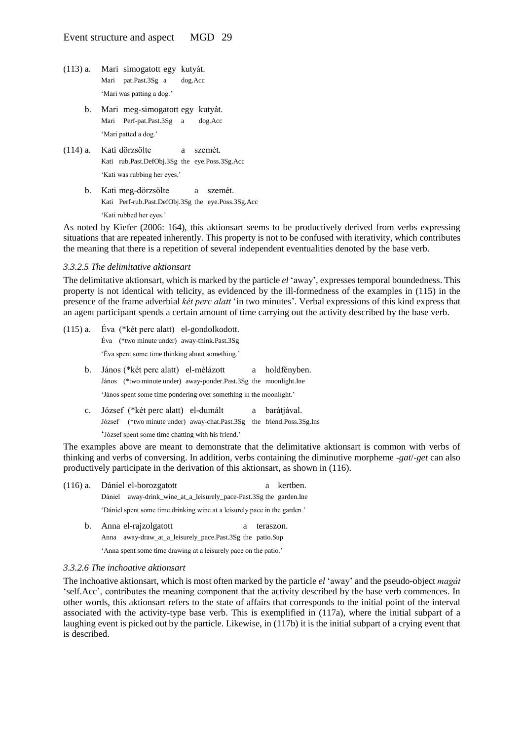- (113) a. Mari simogatott egy kutyát. Mari pat.Past.3Sg a dog.Acc 'Mari was patting a dog.'
	- b. Mari meg-simogatott egy kutyát. Mari Perf-pat.Past.3Sg a dog.Acc 'Mari patted a dog.'
- (114) a. Kati dörzsölte a szemét. Kati rub.Past.DefObj.3Sg the eye.Poss.3Sg.Acc 'Kati was rubbing her eyes.'
	- b. Kati meg-dörzsölte a szemét. Kati Perf-rub.Past.DefObj.3Sg the eye.Poss.3Sg.Acc 'Kati rubbed her eyes.'

As noted by Kiefer (2006: 164), this aktionsart seems to be productively derived from verbs expressing situations that are repeated inherently. This property is not to be confused with iterativity, which contributes the meaning that there is a repetition of several independent eventualities denoted by the base verb.

#### *3.3.2.5 The delimitative aktionsart*

The delimitative aktionsart, which is marked by the particle *el* 'away', expresses temporal boundedness. This property is not identical with telicity, as evidenced by the ill-formedness of the examples in (115) in the presence of the frame adverbial *két perc alatt* 'in two minutes'. Verbal expressions of this kind express that an agent participant spends a certain amount of time carrying out the activity described by the base verb.

- (115) a. Éva (\*két perc alatt) el-gondolkodott. Éva (\*two minute under) away-think.Past.3Sg 'Éva spent some time thinking about something.' b. János (\*két perc alatt) el-mélázott a holdfényben. János (\*two minute under) away-ponder.Past.3Sg the moonlight.Ine 'János spent some time pondering over something in the moonlight.'
	- c. József (\*két perc alatt) el-dumált a barátjával. József (\*two minute under) away-chat.Past.3Sg the friend.Poss.3Sg.Ins 'József spent some time chatting with his friend.'

The examples above are meant to demonstrate that the delimitative aktionsart is common with verbs of thinking and verbs of conversing. In addition, verbs containing the diminutive morpheme -*gat*/-*get* can also productively participate in the derivation of this aktionsart, as shown in (116).

- (116) a. Dániel el-borozgatott a kertben. Dániel away-drink\_wine\_at\_a\_leisurely\_pace-Past.3Sg the garden.Ine 'Dániel spent some time drinking wine at a leisurely pace in the garden.'
	- b. Anna el-rajzolgatott a teraszon. Anna away-draw\_at\_a\_leisurely\_pace.Past.3Sg the patio.Sup 'Anna spent some time drawing at a leisurely pace on the patio.'

#### *3.3.2.6 The inchoative aktionsart*

The inchoative aktionsart, which is most often marked by the particle *el* 'away' and the pseudo-object *magát* 'self.Acc', contributes the meaning component that the activity described by the base verb commences. In other words, this aktionsart refers to the state of affairs that corresponds to the initial point of the interval associated with the activity-type base verb. This is exemplified in (117a), where the initial subpart of a laughing event is picked out by the particle. Likewise, in (117b) it is the initial subpart of a crying event that is described.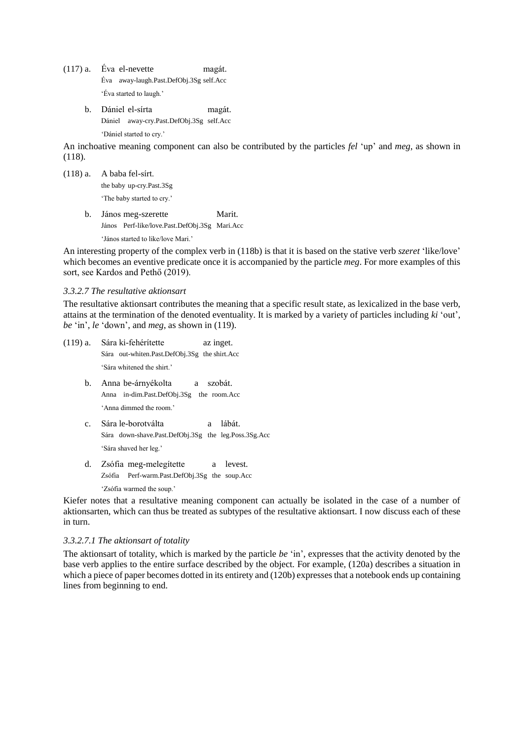- (117) a. Éva el-nevette magát. Éva away-laugh.Past.DefObj.3Sg self.Acc 'Éva started to laugh.'
	- b. Dániel el-sírta magát. Dániel away-cry.Past.DefObj.3Sg self.Acc 'Dániel started to cry.'

An inchoative meaning component can also be contributed by the particles *fel* 'up' and *meg*, as shown in (118).

(118) a. A baba fel-sírt. the baby up-cry.Past.3Sg 'The baby started to cry.'

b. János meg-szerette Marit. János Perf-like/love.Past.DefObj.3Sg Mari.Acc 'János started to like/love Mari.'

An interesting property of the complex verb in (118b) is that it is based on the stative verb *szeret* 'like/love' which becomes an eventive predicate once it is accompanied by the particle *meg*. For more examples of this sort, see Kardos and Pethő (2019).

#### *3.3.2.7 The resultative aktionsart*

The resultative aktionsart contributes the meaning that a specific result state, as lexicalized in the base verb, attains at the termination of the denoted eventuality. It is marked by a variety of particles including *ki* 'out', *be* 'in', *le* 'down', and *meg*, as shown in (119).

- (119) a. Sára ki-fehérítette az inget. Sára out-whiten.Past.DefObj.3Sg the shirt.Acc 'Sára whitened the shirt.'
	- b. Anna be-árnyékolta a szobát. Anna in-dim.Past.DefObj.3Sg the room.Acc 'Anna dimmed the room.'
	- c. Sára le-borotválta a lábát. Sára down-shave.Past.DefObj.3Sg the leg.Poss.3Sg.Acc 'Sára shaved her leg.'
	- d. Zsófia meg-melegítette a levest. Zsófia Perf-warm.Past.DefObj.3Sg the soup.Acc 'Zsófia warmed the soup.'

Kiefer notes that a resultative meaning component can actually be isolated in the case of a number of aktionsarten, which can thus be treated as subtypes of the resultative aktionsart. I now discuss each of these in turn.

#### *3.3.2.7.1 The aktionsart of totality*

The aktionsart of totality, which is marked by the particle *be* 'in', expresses that the activity denoted by the base verb applies to the entire surface described by the object. For example, (120a) describes a situation in which a piece of paper becomes dotted in its entirety and (120b) expresses that a notebook ends up containing lines from beginning to end.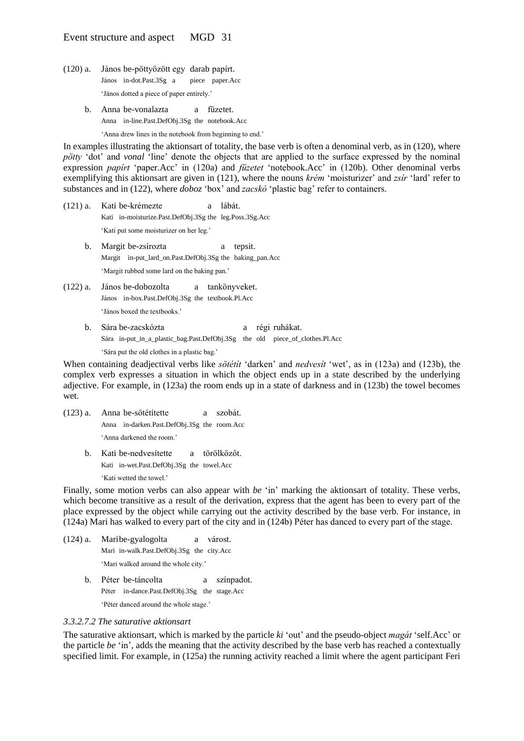- (120) a. János be-pöttyözött egy darab papírt. János in-dot.Past.3Sg a piece paper.Acc 'János dotted a piece of paper entirely.'
	- b. Anna be-vonalazta a füzetet. Anna in-line.Past.DefObj.3Sg the notebook.Acc

'Anna drew lines in the notebook from beginning to end.'

In examples illustrating the aktionsart of totality, the base verb is often a denominal verb, as in (120), where *pötty* 'dot' and *vonal* 'line' denote the objects that are applied to the surface expressed by the nominal expression *papírt* 'paper.Acc' in (120a) and *füzetet* 'notebook.Acc' in (120b). Other denominal verbs exemplifying this aktionsart are given in (121), where the nouns *krém* 'moisturizer' and *zsír* 'lard' refer to substances and in (122), where *doboz* 'box' and *zacskó* 'plastic bag' refer to containers.

- (121) a. Kati be-krémezte a lábát. Kati in-moisturize.Past.DefObj.3Sg the leg.Poss.3Sg.Acc 'Kati put some moisturizer on her leg.'
	- b. Margit be-zsírozta a tepsit. Margit in-put\_lard\_on.Past.DefObj.3Sg the baking\_pan.Acc 'Margit rubbed some lard on the baking pan.'
- (122) a. János be-dobozolta a tankönyveket. János in-box.Past.DefObj.3Sg the textbook.Pl.Acc 'János boxed the textbooks.'
	- b. Sára be-zacskózta a régi ruhákat. Sára in-put\_in\_a\_plastic\_bag.Past.DefObj.3Sg the old piece\_of\_clothes.Pl.Acc 'Sára put the old clothes in a plastic bag.'

When containing deadjectival verbs like *sötétít* 'darken' and *nedvesít* 'wet', as in (123a) and (123b), the complex verb expresses a situation in which the object ends up in a state described by the underlying adjective. For example, in (123a) the room ends up in a state of darkness and in (123b) the towel becomes wet.

- (123) a. Anna be-sötétítette a szobát. Anna in-darken.Past.DefObj.3Sg the room.Acc 'Anna darkened the room.'
	- b. Kati be-nedvesítette a törölközőt. Kati in-wet.Past.DefObj.3Sg the towel.Acc 'Kati wetted the towel.'

Finally, some motion verbs can also appear with *be* 'in' marking the aktionsart of totality. These verbs, which become transitive as a result of the derivation, express that the agent has been to every part of the place expressed by the object while carrying out the activity described by the base verb. For instance, in (124a) Mari has walked to every part of the city and in (124b) Péter has danced to every part of the stage.

- (124) a. Maribe-gyalogolta a várost. Mari in-walk.Past.DefObj.3Sg the city.Acc 'Mari walked around the whole city.'
	- b. Péter be-táncolta a színpadot. Péter in-dance.Past.DefObj.3Sg the stage.Acc 'Péter danced around the whole stage.'

### *3.3.2.7.2 The saturative aktionsart*

The saturative aktionsart, which is marked by the particle *ki* 'out' and the pseudo-object *magát* 'self.Acc' or the particle *be* 'in', adds the meaning that the activity described by the base verb has reached a contextually specified limit. For example, in (125a) the running activity reached a limit where the agent participant Feri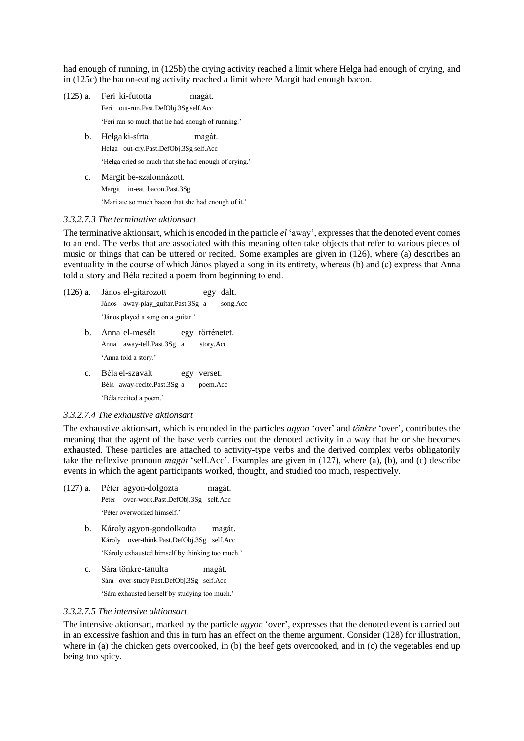had enough of running, in (125b) the crying activity reached a limit where Helga had enough of crying, and in (125c) the bacon-eating activity reached a limit where Margit had enough bacon.

- (125) a. Feri ki-futotta magát. Feri out-run.Past.DefObj.3Sg self.Acc 'Feri ran so much that he had enough of running.' b. Helga ki-sírta magát. Helga out-cry.Past.DefObj.3Sg self.Acc 'Helga cried so much that she had enough of crying.'
	- c. Margit be-szalonnázott. Margit in-eat\_bacon.Past.3Sg 'Mari ate so much bacon that she had enough of it.'

#### *3.3.2.7.3 The terminative aktionsart*

The terminative aktionsart, which is encoded in the particle *el* 'away', expresses that the denoted event comes to an end. The verbs that are associated with this meaning often take objects that refer to various pieces of music or things that can be uttered or recited. Some examples are given in (126), where (a) describes an eventuality in the course of which János played a song in its entirety, whereas (b) and (c) express that Anna told a story and Béla recited a poem from beginning to end.

- (126) a. János el-gitározott egy dalt. János away-play\_guitar.Past.3Sg a song.Acc 'János played a song on a guitar.'
	- b. Anna el-mesélt egy történetet. Anna away-tell.Past.3Sg a story.Acc 'Anna told a story.'
	- c. Béla el-szavalt egy verset. Béla away-recite.Past.3Sg a poem.Acc 'Béla recited a poem.'

#### *3.3.2.7.4 The exhaustive aktionsart*

The exhaustive aktionsart, which is encoded in the particles *agyon* 'over' and *tönkre* 'over', contributes the meaning that the agent of the base verb carries out the denoted activity in a way that he or she becomes exhausted. These particles are attached to activity-type verbs and the derived complex verbs obligatorily take the reflexive pronoun *magát* 'self.Acc'. Examples are given in (127), where (a), (b), and (c) describe events in which the agent participants worked, thought, and studied too much, respectively.

- (127) a. Péter agyon-dolgozta magát. Péter over-work.Past.DefObj.3Sg self.Acc 'Péter overworked himself.'
	- b. Károly agyon-gondolkodta magát. Károly over-think.Past.DefObj.3Sg self.Acc 'Károly exhausted himself by thinking too much.'
	- c. Sára tönkre-tanulta magát. Sára over-study.Past.DefObj.3Sg self.Acc 'Sára exhausted herself by studying too much.'

#### *3.3.2.7.5 The intensive aktionsart*

The intensive aktionsart, marked by the particle *agyon* 'over', expresses that the denoted event is carried out in an excessive fashion and this in turn has an effect on the theme argument. Consider (128) for illustration, where in (a) the chicken gets overcooked, in (b) the beef gets overcooked, and in (c) the vegetables end up being too spicy.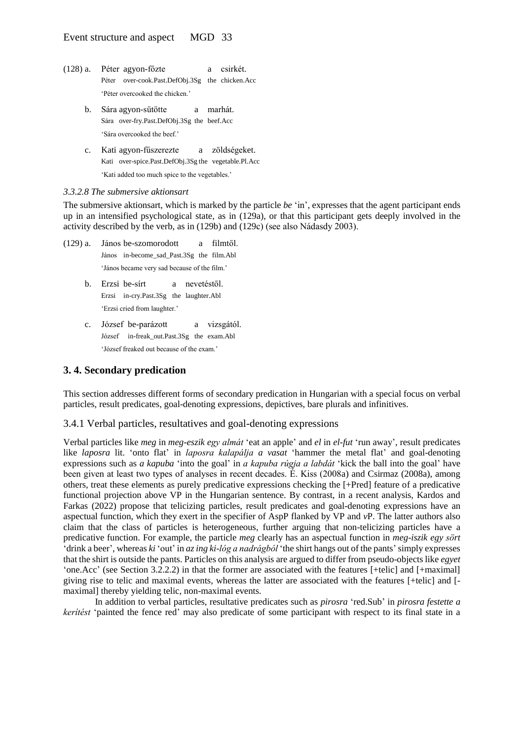- (128) a. Péter agyon-főzte a csirkét. Péter over-cook.Past.DefObj.3Sg the chicken.Acc 'Péter overcooked the chicken.'
	- b. Sára agyon-sütötte a marhát. Sára over-fry.Past.DefObj.3Sg the beef.Acc 'Sára overcooked the beef.'
	- c. Kati agyon-fűszerezte a zöldségeket. Kati over-spice.Past.DefObj.3Sg the vegetable.Pl.Acc 'Kati added too much spice to the vegetables.'

#### *3.3.2.8 The submersive aktionsart*

The submersive aktionsart, which is marked by the particle *be* 'in', expresses that the agent participant ends up in an intensified psychological state, as in (129a), or that this participant gets deeply involved in the activity described by the verb, as in (129b) and (129c) (see also Nádasdy 2003).

- (129) a. János be-szomorodott a filmtől. János in-become\_sad\_Past.3Sg the film.Abl 'János became very sad because of the film.'
	- b. Erzsi be-sírt a nevetéstől. Erzsi in-cry.Past.3Sg the laughter.Abl 'Erzsi cried from laughter.'
	- c. József be-parázott a vizsgától. József in-freak\_out.Past.3Sg the exam.Abl 'József freaked out because of the exam.'

## **3. 4. Secondary predication**

This section addresses different forms of secondary predication in Hungarian with a special focus on verbal particles, result predicates, goal-denoting expressions, depictives, bare plurals and infinitives.

#### 3.4.1 Verbal particles, resultatives and goal-denoting expressions

Verbal particles like *meg* in *meg-eszik egy almát* 'eat an apple' and *el* in *el-fut* 'run away', result predicates like *laposra* lit. 'onto flat' in *laposra kalapálja a vasat* 'hammer the metal flat' and goal-denoting expressions such as *a kapuba* 'into the goal' in *a kapuba rúgja a labdát* 'kick the ball into the goal' have been given at least two types of analyses in recent decades. É. Kiss (2008a) and Csirmaz (2008a), among others, treat these elements as purely predicative expressions checking the [+Pred] feature of a predicative functional projection above VP in the Hungarian sentence. By contrast, in a recent analysis, Kardos and Farkas (2022) propose that telicizing particles, result predicates and goal-denoting expressions have an aspectual function, which they exert in the specifier of AspP flanked by VP and *v*P. The latter authors also claim that the class of particles is heterogeneous, further arguing that non-telicizing particles have a predicative function. For example, the particle *meg* clearly has an aspectual function in *meg*-*iszik egy sört*  'drink a beer', whereas *ki* 'out' in *az ing ki-lóg a nadrágból* 'the shirt hangs out of the pants'simply expresses that the shirt is outside the pants. Particles on this analysis are argued to differ from pseudo-objects like *egyet*  'one.Acc' (see Section 3.2.2.2) in that the former are associated with the features [+telic] and [+maximal] giving rise to telic and maximal events, whereas the latter are associated with the features [+telic] and [ maximal] thereby yielding telic, non-maximal events.

In addition to verbal particles, resultative predicates such as *pirosra* 'red.Sub' in *pirosra festette a kerítést* 'painted the fence red' may also predicate of some participant with respect to its final state in a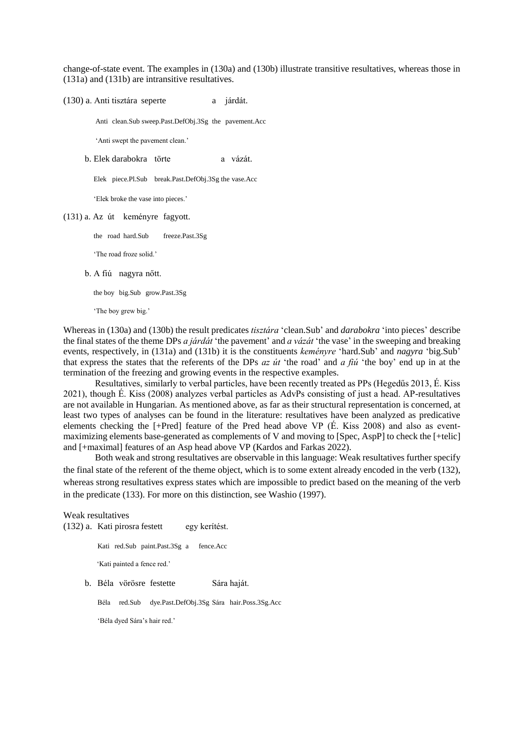change-of-state event. The examples in (130a) and (130b) illustrate transitive resultatives, whereas those in (131a) and (131b) are intransitive resultatives.

(130) a. Anti tisztára seperte a járdát.

Anti clean.Sub sweep.Past.DefObj.3Sg the pavement.Acc

'Anti swept the pavement clean.'

b. Elek darabokra törte a vázát.

Elek piece.Pl.Sub break.Past.DefObj.3Sg the vase.Acc

'Elek broke the vase into pieces.'

(131) a. Az út keményre fagyott.

the road hard.Sub freeze.Past.3Sg

'The road froze solid.'

b. A fiú nagyra nőtt.

the boy big.Sub grow.Past.3Sg

'The boy grew big.'

Whereas in (130a) and (130b) the result predicates *tisztára* 'clean.Sub' and *darabokra* 'into pieces' describe the final states of the theme DPs *a járdát* 'the pavement' and *a vázát* 'the vase' in the sweeping and breaking events, respectively, in (131a) and (131b) it is the constituents *keményre* 'hard.Sub' and *nagyra* 'big.Sub' that express the states that the referents of the DPs *az út* 'the road' and *a fiú* 'the boy' end up in at the termination of the freezing and growing events in the respective examples.

Resultatives, similarly to verbal particles, have been recently treated as PPs (Hegedűs 2013, É. Kiss 2021), though É. Kiss (2008) analyzes verbal particles as AdvPs consisting of just a head. AP-resultatives are not available in Hungarian. As mentioned above, as far as their structural representation is concerned, at least two types of analyses can be found in the literature: resultatives have been analyzed as predicative elements checking the [+Pred] feature of the Pred head above VP (É. Kiss 2008) and also as eventmaximizing elements base-generated as complements of V and moving to [Spec, AspP] to check the [+telic] and [+maximal] features of an Asp head above VP (Kardos and Farkas 2022).

Both weak and strong resultatives are observable in this language: Weak resultatives further specify the final state of the referent of the theme object, which is to some extent already encoded in the verb (132), whereas strong resultatives express states which are impossible to predict based on the meaning of the verb in the predicate (133). For more on this distinction, see Washio (1997).

Weak resultatives (132) a. Kati pirosra festett egy kerítést. Kati red.Sub paint.Past.3Sg a fence.Acc 'Kati painted a fence red.' b. Béla vörösre festette Sára haját. Béla red.Sub dye.Past.DefObj.3Sg Sára hair.Poss.3Sg.Acc 'Béla dyed Sára's hair red.'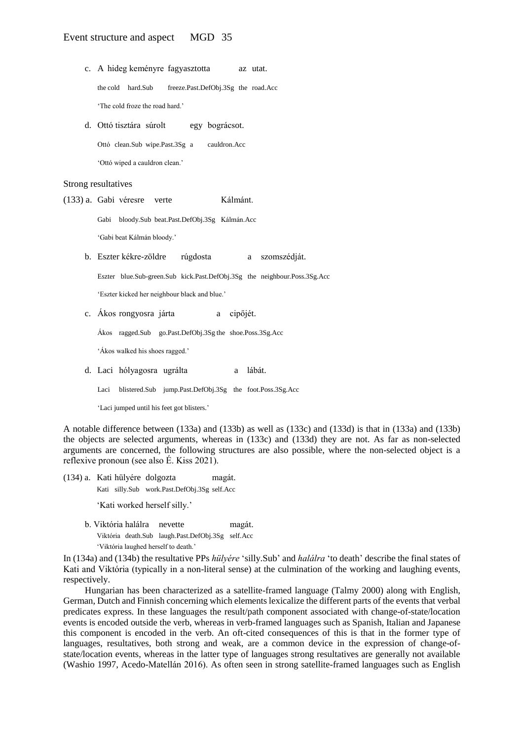- c. A hideg keményre fagyasztotta az utat. the cold hard.Sub freeze.Past.DefObj.3Sg the road.Acc 'The cold froze the road hard.'
- d. Ottó tisztára súrolt egy bográcsot. Ottó clean.Sub wipe.Past.3Sg a cauldron.Acc 'Ottó wiped a cauldron clean.'

Strong resultatives

(133) a. Gabi véresre verte Kálmánt.

Gabi bloody.Sub beat.Past.DefObj.3Sg Kálmán.Acc

'Gabi beat Kálmán bloody.'

b. Eszter kékre-zöldre rúgdosta a szomszédját.

Eszter blue.Sub-green.Sub kick.Past.DefObj.3Sg the neighbour.Poss.3Sg.Acc

'Eszter kicked her neighbour black and blue.'

c. Ákos rongyosra járta a cipőjét.

Ákos ragged.Sub go.Past.DefObj.3Sg the shoe.Poss.3Sg.Acc

'Ákos walked his shoes ragged.'

d. Laci hólyagosra ugrálta a lábát.

Laci blistered.Sub jump.Past.DefObj.3Sg the foot.Poss.3Sg.Acc

'Laci jumped until his feet got blisters.'

A notable difference between (133a) and (133b) as well as (133c) and (133d) is that in (133a) and (133b) the objects are selected arguments, whereas in (133c) and (133d) they are not. As far as non-selected arguments are concerned, the following structures are also possible, where the non-selected object is a reflexive pronoun (see also É. Kiss 2021).

- (134) a. Kati hülyére dolgozta magát. Kati silly.Sub work.Past.DefObj.3Sg self.Acc 'Kati worked herself silly.'
	- b. Viktória halálra nevette magát. Viktória death.Sub laugh.Past.DefObj.3Sg self.Acc 'Viktória laughed herself to death.'

In (134a) and (134b) the resultative PPs *hülyére* 'silly.Sub' and *halálra* 'to death' describe the final states of Kati and Viktória (typically in a non-literal sense) at the culmination of the working and laughing events, respectively.

Hungarian has been characterized as a satellite-framed language (Talmy 2000) along with English, German, Dutch and Finnish concerning which elements lexicalize the different parts of the events that verbal predicates express. In these languages the result/path component associated with change-of-state/location events is encoded outside the verb, whereas in verb-framed languages such as Spanish, Italian and Japanese this component is encoded in the verb. An oft-cited consequences of this is that in the former type of languages, resultatives, both strong and weak, are a common device in the expression of change-ofstate/location events, whereas in the latter type of languages strong resultatives are generally not available (Washio 1997, Acedo-Matellán 2016). As often seen in strong satellite-framed languages such as English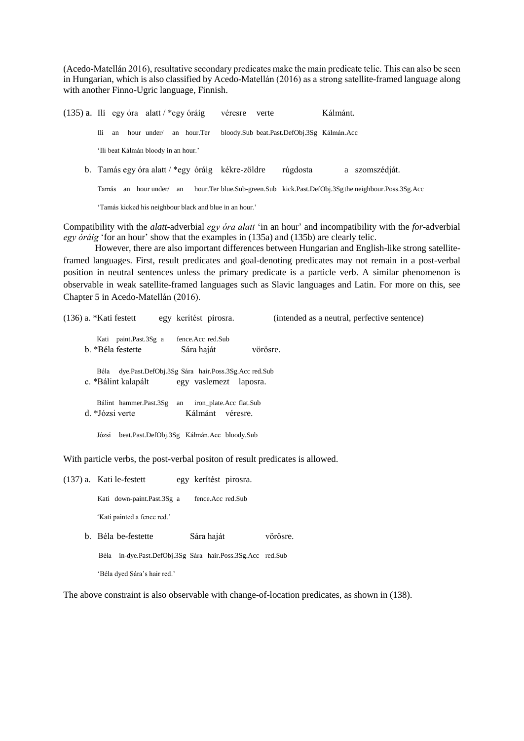(Acedo-Matellán 2016), resultative secondary predicates make the main predicate telic. This can also be seen in Hungarian, which is also classified by Acedo-Matellán (2016) as a strong satellite-framed language along with another Finno-Ugric language, Finnish.

(135) a. Ili egy óra alatt / \*egy óráig véresre verte Kálmánt. Ili an hour under/ an hour.Ter bloody.Sub beat.Past.DefObj.3Sg Kálmán.Acc 'Ili beat Kálmán bloody in an hour.' b. Tamás egy óra alatt / \*egy óráig kékre-zöldre rúgdosta a szomszédját. Tamás an hour under/ an hour.Ter blue.Sub-green.Sub kick.Past.DefObj.3Sgthe neighbour.Poss.3Sg.Acc 'Tamás kicked his neighbour black and blue in an hour.'

Compatibility with the *alatt*-adverbial *egy óra alatt* 'in an hour' and incompatibility with the *for*-adverbial *egy óráig* 'for an hour' show that the examples in (135a) and (135b) are clearly telic.

However, there are also important differences between Hungarian and English-like strong satelliteframed languages. First, result predicates and goal-denoting predicates may not remain in a post-verbal position in neutral sentences unless the primary predicate is a particle verb. A similar phenomenon is observable in weak satellite-framed languages such as Slavic languages and Latin. For more on this, see Chapter 5 in Acedo-Matellán (2016).

| $(136)$ a. *Kati festett |      |                                                     |                     | egy kerítést pirosra.   |          | (intended as a neutral, perfective sentence) |
|--------------------------|------|-----------------------------------------------------|---------------------|-------------------------|----------|----------------------------------------------|
|                          |      | Kati paint.Past.3Sg a                               | fence. Acc red. Sub |                         |          |                                              |
|                          |      | b. *Béla festette                                   | Sára haját          |                         | vörösre. |                                              |
|                          | Béla | dye.Past.DefObj.3Sg Sára hair.Poss.3Sg.Acc red.Sub  |                     |                         |          |                                              |
|                          |      | c. *Bálint kalapált                                 |                     | egy vaslemezt laposra.  |          |                                              |
|                          |      | Bálint hammer.Past.3Sg                              | an                  | iron_plate.Acc_flat.Sub |          |                                              |
|                          |      | d. *Józsi verte                                     | Kálmánt             | véresre.                |          |                                              |
|                          |      | Józsi beat.Past.DefObj.3Sg Kálmán.Acc bloody.Sub    |                     |                         |          |                                              |
|                          |      | $\sim$ 1 $\sim$ 1 $\sim$ 1 $\sim$ 1 $\sim$ 1 $\sim$ |                     |                         |          |                                              |

With particle verbs, the post-verbal positon of result predicates is allowed.

(137) a. Kati le-festett egy kerítést pirosra. Kati down-paint.Past.3Sg a fence.Acc red.Sub 'Kati painted a fence red.' b. Béla be-festette Sára haját vörösre. Béla in-dye.Past.DefObj.3Sg Sára hair.Poss.3Sg.Acc red.Sub 'Béla dyed Sára's hair red.'

The above constraint is also observable with change-of-location predicates, as shown in (138).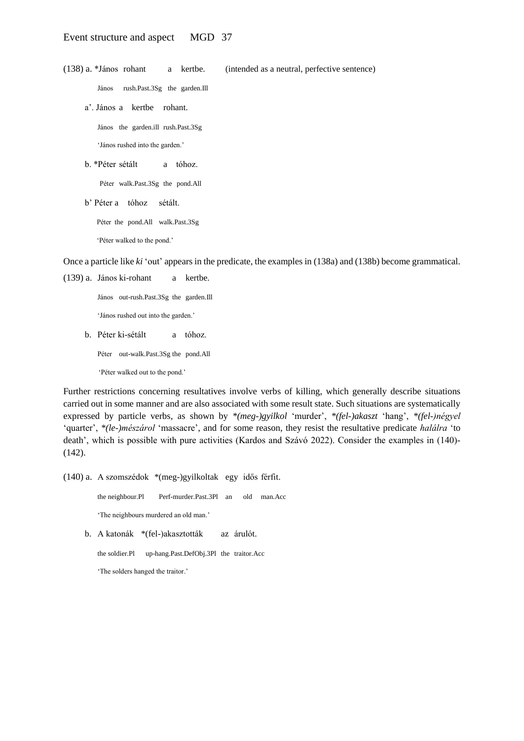(138) a. \*János rohant a kertbe. (intended as a neutral, perfective sentence)

János rush.Past.3Sg the garden.Ill

a'. János a kertbe rohant.

János the garden.ill rush.Past.3Sg

'János rushed into the garden.'

b. \*Péter sétált a tóhoz.

Péter walk.Past.3Sg the pond.All

b' Péter a tóhoz sétált.

Péter the pond.All walk.Past.3Sg

'Péter walked to the pond.'

Once a particle like *ki* 'out' appears in the predicate, the examples in (138a) and (138b) become grammatical.

(139) a. János ki-rohant a kertbe.

János out-rush.Past.3Sg the garden.Ill

'János rushed out into the garden.'

b. Péter ki-sétált a tóhoz.

Péter out-walk.Past.3Sg the pond.All

'Péter walked out to the pond.'

Further restrictions concerning resultatives involve verbs of killing, which generally describe situations carried out in some manner and are also associated with some result state. Such situations are systematically expressed by particle verbs, as shown by *\*(meg-)gyilkol* 'murder', *\*(fel-)akaszt* 'hang', *\*(fel-)négyel*  'quarter', *\*(le-)mészárol* 'massacre', and for some reason, they resist the resultative predicate *halálra* 'to death', which is possible with pure activities (Kardos and Szávó 2022). Consider the examples in (140)- (142).

(140) a. A szomszédok \*(meg-)gyilkoltak egy idős férfit.

the neighbour.Pl Perf-murder.Past.3Pl an old man.Acc

'The neighbours murdered an old man.'

b. A katonák \*(fel-)akasztották az árulót.

the soldier.Pl up-hang.Past.DefObj.3Pl the traitor.Acc

'The solders hanged the traitor.'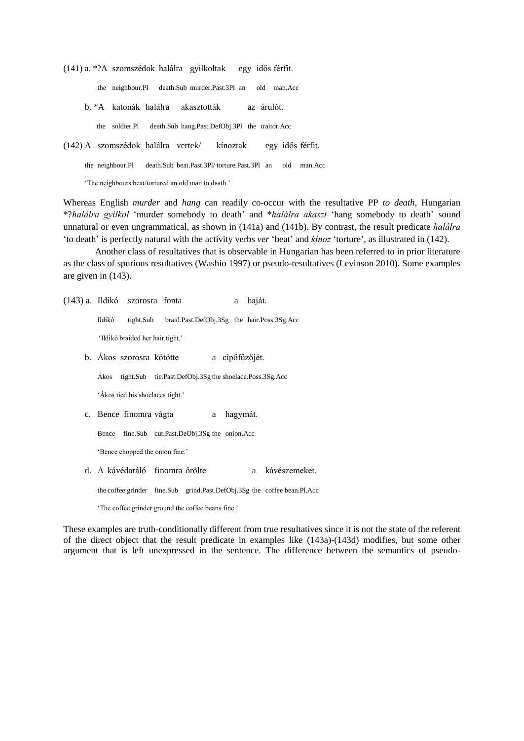(141) a. \*?A szomszédok halálra gyilkoltak egy idős férfit.

the neighbour.Pl death.Sub murder.Past.3Pl an old man.Acc b. \*A katonák halálra akasztották az árulót. the soldier.Pl death.Sub hang.Past.DefObj.3Pl the traitor.Acc

(142) A szomszédok halálra vertek/ kínoztak egy idős férfit.

the neighbour.Pl death.Sub beat.Past.3Pl/ torture.Past.3Pl an old man.Acc

'The neighbours beat/tortured an old man to death.'

Whereas English *murder* and *hang* can readily co-occur with the resultative PP *to death*, Hungarian \*?*halálra gyilkol* 'murder somebody to death' and \**halálra akaszt* 'hang somebody to death' sound unnatural or even ungrammatical, as shown in (141a) and (141b). By contrast, the result predicate *halálra* 'to death' is perfectly natural with the activity verbs *ver* 'beat' and *kínoz* 'torture', as illustrated in (142).

Another class of resultatives that is observable in Hungarian has been referred to in prior literature as the class of spurious resultatives (Washio 1997) or pseudo-resultatives (Levinson 2010). Some examples are given in (143).

(143) a. Ildikó szorosra fonta a haját. Ildikó tight.Sub braid.Past.DefObj.3Sg the hair.Poss.3Sg.Acc

'Ildikó braided her hair tight.'

b. Ákos szorosra kötötte a cipőfűzőjét.

Ákos tight.Sub tie.Past.DefObj.3Sg the shoelace.Poss.3Sg.Acc

'Ákos tied his shoelaces tight.'

c. Bence finomra vágta a hagymát.

Bence fine.Sub cut.Past.DeObj.3Sg the onion.Acc

'Bence chopped the onion fine.'

d. A kávédaráló finomra őrölte a kávészemeket.

the coffee grinder fine.Sub grind.Past.DefObj.3Sg the coffee bean.Pl.Acc

'The coffee grinder ground the coffee beans fine.'

These examples are truth-conditionally different from true resultatives since it is not the state of the referent of the direct object that the result predicate in examples like (143a)-(143d) modifies, but some other argument that is left unexpressed in the sentence. The difference between the semantics of pseudo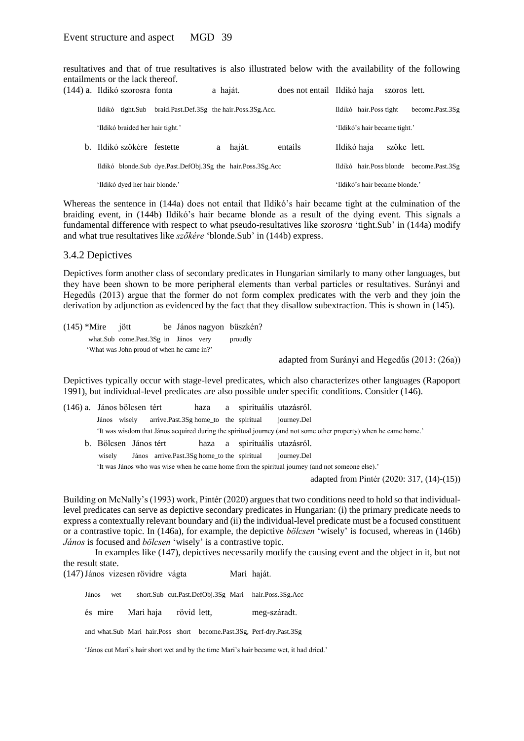resultatives and that of true resultatives is also illustrated below with the availability of the following entailments or the lack thereof.

|  | (144) a. Ildikó szorosra fonta   |                                                                    | a haját. |          | does not entail Ildikó haja |             |                                | szoros lett. |                 |
|--|----------------------------------|--------------------------------------------------------------------|----------|----------|-----------------------------|-------------|--------------------------------|--------------|-----------------|
|  | Ildikó tight.Sub                 | braid.Past.Def.3Sg the hair.Poss.3Sg.Acc.                          |          |          |                             |             | Ildikó hair. Poss tight        |              | become.Past.3Sg |
|  | 'Ildikó braided her hair tight.' |                                                                    |          |          |                             |             | 'Ildikó's hair became tight.'  |              |                 |
|  | b. Ildikó szőkére festette       |                                                                    |          | a haját. | entails                     | Ildikó haja |                                | szőke lett.  |                 |
|  |                                  | Ildikó blonde. Sub dye. Past. DefObj. 3Sg the hair. Poss. 3Sg. Acc |          |          |                             |             | Ildikó hair. Poss blonde       |              | become.Past.3Sg |
|  | 'Ildikó dyed her hair blonde.'   |                                                                    |          |          |                             |             | 'Ildikó's hair became blonde.' |              |                 |

Whereas the sentence in (144a) does not entail that Ildikó's hair became tight at the culmination of the braiding event, in (144b) Ildikó's hair became blonde as a result of the dying event. This signals a fundamental difference with respect to what pseudo-resultatives like *szorosra* 'tight.Sub' in (144a) modify and what true resultatives like *szőkére* 'blonde.Sub' in (144b) express.

#### 3.4.2 Depictives

Depictives form another class of secondary predicates in Hungarian similarly to many other languages, but they have been shown to be more peripheral elements than verbal particles or resultatives. Surányi and Hegedűs (2013) argue that the former do not form complex predicates with the verb and they join the derivation by adjunction as evidenced by the fact that they disallow subextraction. This is shown in (145).

(145) \*Mire jött be János nagyon büszkén? what.Sub come.Past.3Sg in János very proudly 'What was John proud of when he came in?'

adapted from Surányi and Hegedűs (2013: (26a))

Depictives typically occur with stage-level predicates, which also characterizes other languages (Rapoport 1991), but individual-level predicates are also possible under specific conditions. Consider (146).

| (146) a. János bölcsen tért                                                                      |  |                                               | haza |  | a spirituális utazásról.      |                                                                                                                   |  |  |
|--------------------------------------------------------------------------------------------------|--|-----------------------------------------------|------|--|-------------------------------|-------------------------------------------------------------------------------------------------------------------|--|--|
| János<br>wiselv                                                                                  |  | arrive. Past. 3Sg home to the spiritual       |      |  |                               | journey.Del                                                                                                       |  |  |
|                                                                                                  |  |                                               |      |  |                               | 'It was wisdom that János acquired during the spiritual journey (and not some other property) when he came home.' |  |  |
| b. Bölcsen János tért                                                                            |  |                                               |      |  | haza a spirituális utazásról. |                                                                                                                   |  |  |
| wisely                                                                                           |  | János arrive. Past. 3Sg home to the spiritual |      |  |                               | journey.Del                                                                                                       |  |  |
| 'It was János who was wise when he came home from the spiritual journey (and not someone else).' |  |                                               |      |  |                               |                                                                                                                   |  |  |

adapted from Pintér (2020: 317, (14)-(15))

Building on McNally's (1993) work, Pintér (2020) argues that two conditions need to hold so that individuallevel predicates can serve as depictive secondary predicates in Hungarian: (i) the primary predicate needs to express a contextually relevant boundary and (ii) the individual-level predicate must be a focused constituent or a contrastive topic. In (146a), for example, the depictive *bölcsen* 'wisely' is focused, whereas in (146b) *János* is focused and *bölcsen* 'wisely' is a contrastive topic.

In examples like (147), depictives necessarily modify the causing event and the object in it, but not the result state.

(147)János vizesen rövidre vágta Mari haját.

János wet short.Sub cut.Past.DefObj.3Sg Mari hair.Poss.3Sg.Acc

és mire Mari haja rövid lett, meg-száradt.

and what.Sub Mari hair.Poss short become.Past.3Sg, Perf-dry.Past.3Sg

'János cut Mari's hair short wet and by the time Mari's hair became wet, it had dried.'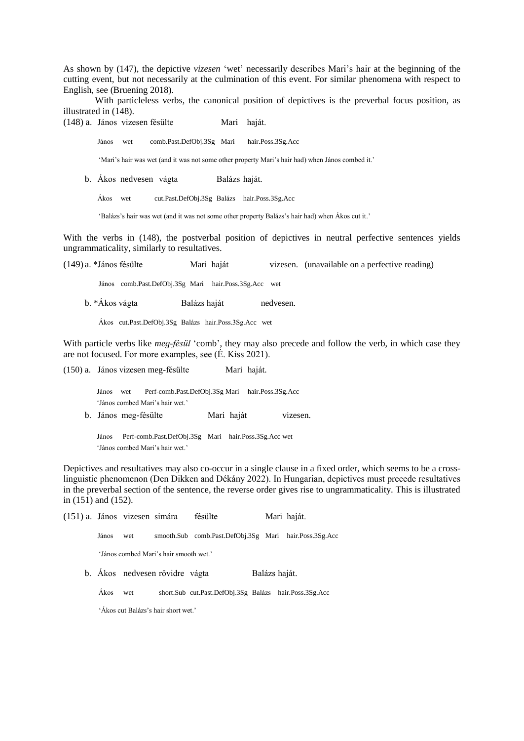As shown by (147), the depictive *vizesen* 'wet' necessarily describes Mari's hair at the beginning of the cutting event, but not necessarily at the culmination of this event. For similar phenomena with respect to English, see (Bruening 2018).

With particleless verbs, the canonical position of depictives is the preverbal focus position, as illustrated in (148).

(148) a. János vizesen fésülte Mari haját.

János wet comb.Past.DefObj.3Sg Mari hair.Poss.3Sg.Acc

'Mari's hair was wet (and it was not some other property Mari's hair had) when János combed it.'

b. Ákos nedvesen vágta Balázs haját.

Ákos wet cut.Past.DefObj.3Sg Balázs hair.Poss.3Sg.Acc

'Balázs's hair was wet (and it was not some other property Balázs's hair had) when Ákos cut it.'

With the verbs in (148), the postverbal position of depictives in neutral perfective sentences yields ungrammaticality, similarly to resultatives.

(149) a. \*János fésülte Mari haját vizesen. (unavailable on a perfective reading)

János comb.Past.DefObj.3Sg Mari hair.Poss.3Sg.Acc wet

b. \*Ákos vágta Balázs haját nedvesen.

Ákos cut.Past.DefObj.3Sg Balázs hair.Poss.3Sg.Acc wet

With particle verbs like *meg-fésül* 'comb', they may also precede and follow the verb, in which case they are not focused. For more examples, see (É. Kiss 2021).

(150) a. János vizesen meg-fésülte Mari haját.

János wet Perf-comb.Past.DefObj.3Sg Mari hair.Poss.3Sg.Acc 'János combed Mari's hair wet.'

b. János meg-fésülte Mari haját vizesen.

János Perf-comb.Past.DefObj.3Sg Mari hair.Poss.3Sg.Acc wet 'János combed Mari's hair wet.'

Depictives and resultatives may also co-occur in a single clause in a fixed order, which seems to be a crosslinguistic phenomenon (Den Dikken and Dékány 2022). In Hungarian, depictives must precede resultatives in the preverbal section of the sentence, the reverse order gives rise to ungrammaticality. This is illustrated in (151) and (152).

(151) a. János vizesen simára fésülte Mari haját.

János wet smooth.Sub comb.Past.DefObj.3Sg Mari hair.Poss.3Sg.Acc

'János combed Mari's hair smooth wet.'

b. Ákos nedvesen rövidre vágta Balázs haját.

Ákos wet short.Sub cut.Past.DefObj.3Sg Balázs hair.Poss.3Sg.Acc

'Ákos cut Balázs's hair short wet.'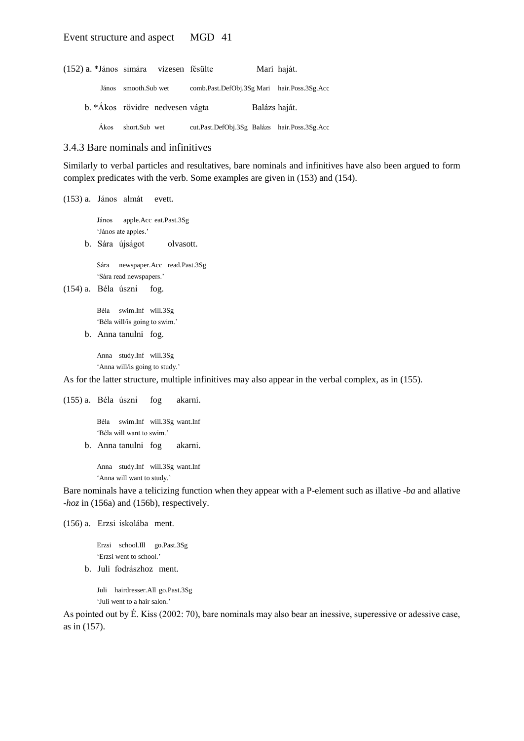### Event structure and aspect MGD 41

| (152) a. *János simára vizesen fésülte |                |                                 |                                              |               | Mari haját. |
|----------------------------------------|----------------|---------------------------------|----------------------------------------------|---------------|-------------|
| János                                  | smooth.Sub wet |                                 | comb.Past.DefObj.3Sg Mari hair.Poss.3Sg.Acc  |               |             |
|                                        |                | b. *Ákos rövidre nedvesen vágta |                                              | Balázs haját. |             |
| Akos                                   | short.Sub wet  |                                 | cut.Past.DefObj.3Sg Balázs hair.Poss.3Sg.Acc |               |             |

## 3.4.3 Bare nominals and infinitives

Similarly to verbal particles and resultatives, bare nominals and infinitives have also been argued to form complex predicates with the verb. Some examples are given in (153) and (154).

(153) a. János almát evett.

János apple.Acc eat.Past.3Sg 'János ate apples.'

b. Sára újságot olvasott.

Sára newspaper.Acc read.Past.3Sg 'Sára read newspapers.'

```
(154) a. Béla úszni fog.
```
Béla swim.Inf will.3Sg 'Béla will/is going to swim.'

```
b. Anna tanulni fog.
```
Anna study.Inf will.3Sg 'Anna will/is going to study.'

As for the latter structure, multiple infinitives may also appear in the verbal complex, as in (155).

(155) a. Béla úszni fog akarni.

Béla swim.Inf will.3Sg want.Inf 'Béla will want to swim.'

b. Anna tanulni fog akarni.

Anna study.Inf will.3Sg want.Inf 'Anna will want to study.'

Bare nominals have a telicizing function when they appear with a P-element such as illative -*ba* and allative -*hoz* in (156a) and (156b), respectively.

(156) a. Erzsi iskolába ment.

Erzsi school.Ill go.Past.3Sg 'Erzsi went to school.'

b. Juli fodrászhoz ment.

Juli hairdresser.All go.Past.3Sg 'Juli went to a hair salon.'

As pointed out by É. Kiss (2002: 70), bare nominals may also bear an inessive, superessive or adessive case, as in (157).